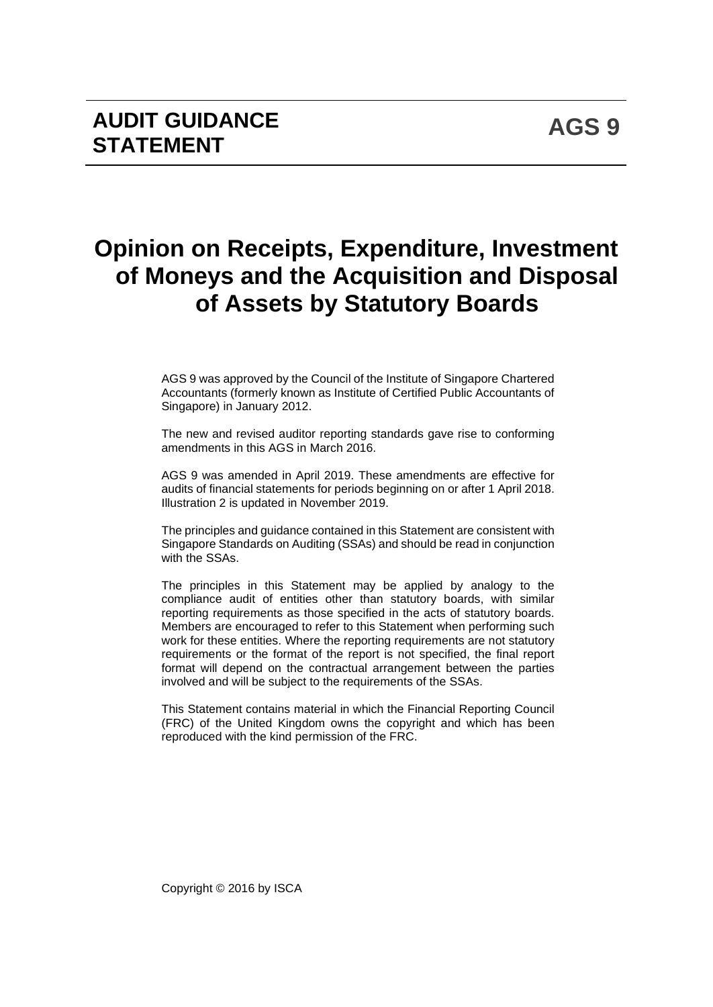# **Opinion on Receipts, Expenditure, Investment of Moneys and the Acquisition and Disposal of Assets by Statutory Boards**

AGS 9 was approved by the Council of the Institute of Singapore Chartered Accountants (formerly known as Institute of Certified Public Accountants of Singapore) in January 2012.

The new and revised auditor reporting standards gave rise to conforming amendments in this AGS in March 2016.

AGS 9 was amended in April 2019. These amendments are effective for audits of financial statements for periods beginning on or after 1 April 2018. Illustration 2 is updated in November 2019.

The principles and guidance contained in this Statement are consistent with Singapore Standards on Auditing (SSAs) and should be read in conjunction with the SSAs.

The principles in this Statement may be applied by analogy to the compliance audit of entities other than statutory boards, with similar reporting requirements as those specified in the acts of statutory boards. Members are encouraged to refer to this Statement when performing such work for these entities. Where the reporting requirements are not statutory requirements or the format of the report is not specified, the final report format will depend on the contractual arrangement between the parties involved and will be subject to the requirements of the SSAs.

This Statement contains material in which the Financial Reporting Council (FRC) of the United Kingdom owns the copyright and which has been reproduced with the kind permission of the FRC.

Copyright © 2016 by ISCA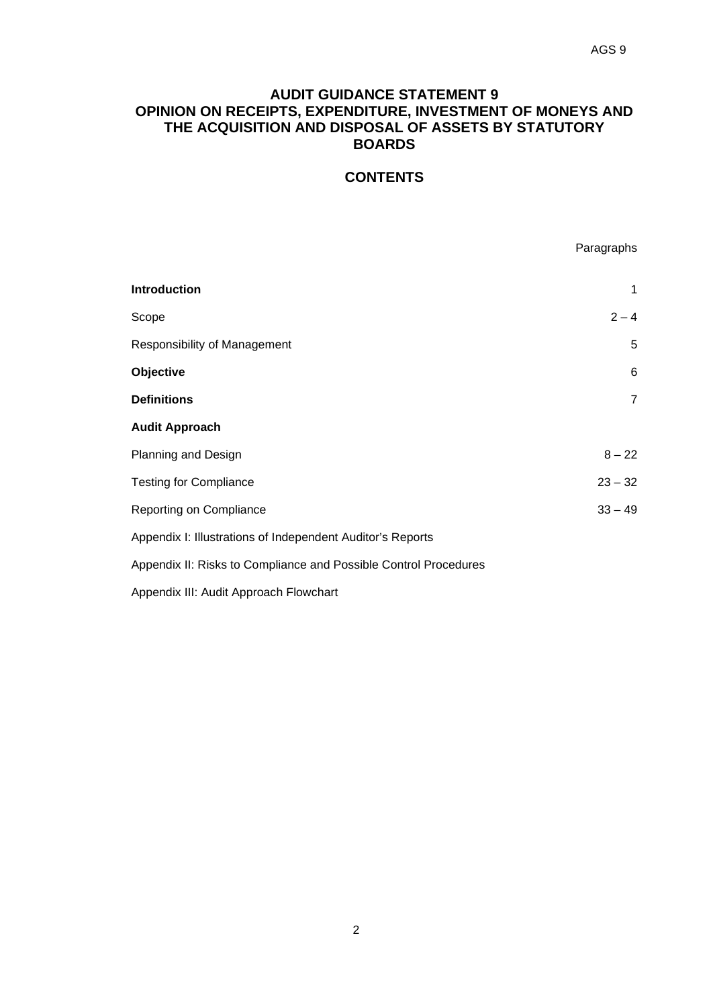# **AUDIT GUIDANCE STATEMENT 9 OPINION ON RECEIPTS, EXPENDITURE, INVESTMENT OF MONEYS AND THE ACQUISITION AND DISPOSAL OF ASSETS BY STATUTORY BOARDS**

# **CONTENTS**

Paragraphs

| <b>Introduction</b>                                              | 1              |
|------------------------------------------------------------------|----------------|
| Scope                                                            | $2 - 4$        |
| Responsibility of Management                                     | 5              |
| Objective                                                        | 6              |
| <b>Definitions</b>                                               | $\overline{7}$ |
| <b>Audit Approach</b>                                            |                |
| Planning and Design                                              | $8 - 22$       |
| <b>Testing for Compliance</b>                                    | $23 - 32$      |
| Reporting on Compliance                                          | $33 - 49$      |
| Appendix I: Illustrations of Independent Auditor's Reports       |                |
| Appendix II: Risks to Compliance and Possible Control Procedures |                |
| Appendix III: Audit Approach Flowchart                           |                |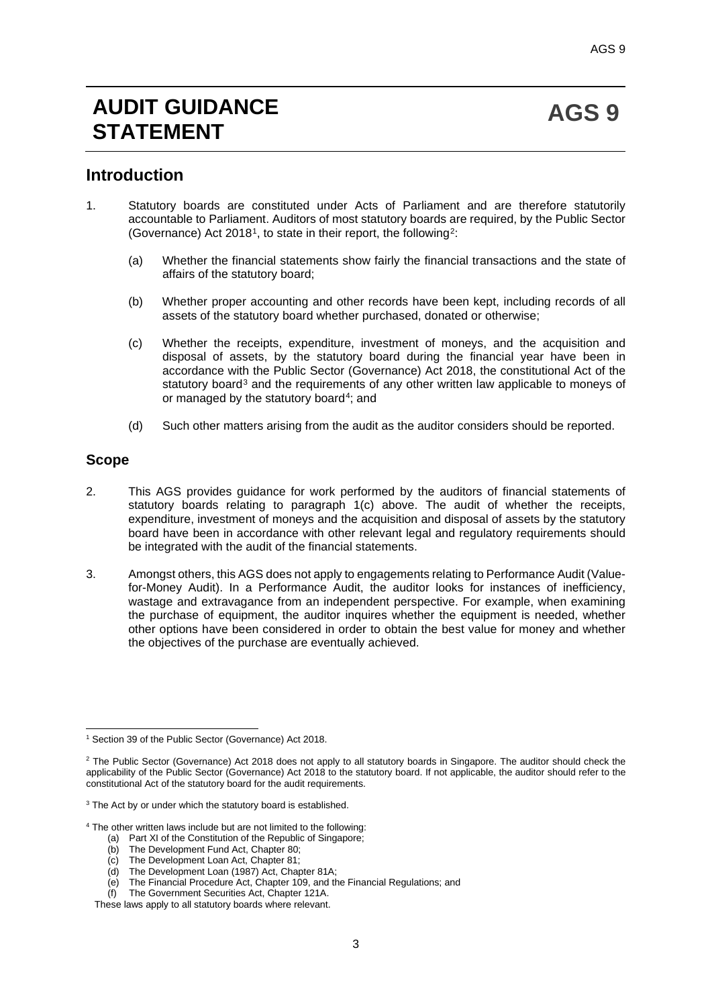# **AUDIT GUIDANCE STATEMENT**

# **Introduction**

- 1. Statutory boards are constituted under Acts of Parliament and are therefore statutorily accountable to Parliament. Auditors of most statutory boards are required, by the Public Sector (Governance) Act 2018<sup>1</sup>, to state in their report, the following<sup>2</sup>:
	- (a) Whether the financial statements show fairly the financial transactions and the state of affairs of the statutory board;
	- (b) Whether proper accounting and other records have been kept, including records of all assets of the statutory board whether purchased, donated or otherwise;
	- (c) Whether the receipts, expenditure, investment of moneys, and the acquisition and disposal of assets, by the statutory board during the financial year have been in accordance with the Public Sector (Governance) Act 2018, the constitutional Act of the statutory board<sup>3</sup> and the requirements of any other written law applicable to moneys of or managed by the statutory board<sup>4</sup>; and
	- (d) Such other matters arising from the audit as the auditor considers should be reported.

#### **Scope**

- 2. This AGS provides guidance for work performed by the auditors of financial statements of statutory boards relating to paragraph 1(c) above. The audit of whether the receipts, expenditure, investment of moneys and the acquisition and disposal of assets by the statutory board have been in accordance with other relevant legal and regulatory requirements should be integrated with the audit of the financial statements.
- 3. Amongst others, this AGS does not apply to engagements relating to Performance Audit (Valuefor-Money Audit). In a Performance Audit, the auditor looks for instances of inefficiency, wastage and extravagance from an independent perspective. For example, when examining the purchase of equipment, the auditor inquires whether the equipment is needed, whether other options have been considered in order to obtain the best value for money and whether the objectives of the purchase are eventually achieved.

(a) Part XI of the Constitution of the Republic of Singapore;

(e) The Financial Procedure Act, Chapter 109, and the Financial Regulations; and

<sup>1</sup> Section 39 of the Public Sector (Governance) Act 2018.

<sup>&</sup>lt;sup>2</sup> The Public Sector (Governance) Act 2018 does not apply to all statutory boards in Singapore. The auditor should check the applicability of the Public Sector (Governance) Act 2018 to the statutory board. If not applicable, the auditor should refer to the constitutional Act of the statutory board for the audit requirements.

<sup>&</sup>lt;sup>3</sup> The Act by or under which the statutory board is established.

<sup>&</sup>lt;sup>4</sup> The other written laws include but are not limited to the following:

<sup>(</sup>b) The Development Fund Act, Chapter 80;

<sup>(</sup>c) The Development Loan Act, Chapter 81;

<sup>(</sup>d) The Development Loan (1987) Act, Chapter 81A;

The Government Securities Act, Chapter 121A.

These laws apply to all statutory boards where relevant.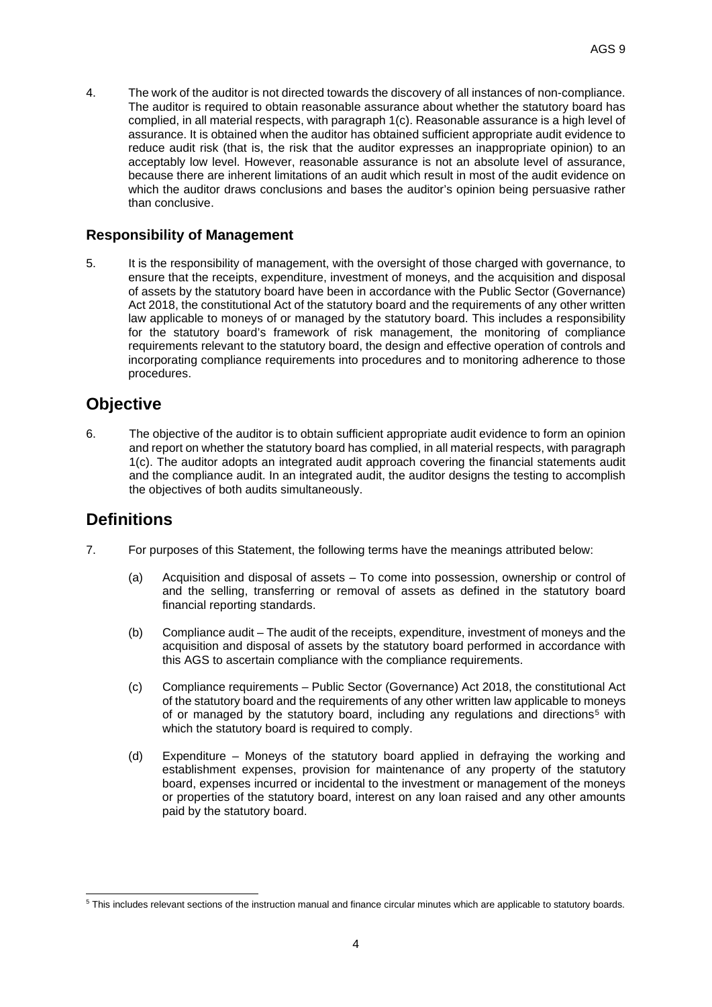4. The work of the auditor is not directed towards the discovery of all instances of non-compliance. The auditor is required to obtain reasonable assurance about whether the statutory board has complied, in all material respects, with paragraph 1(c). Reasonable assurance is a high level of assurance. It is obtained when the auditor has obtained sufficient appropriate audit evidence to reduce audit risk (that is, the risk that the auditor expresses an inappropriate opinion) to an acceptably low level. However, reasonable assurance is not an absolute level of assurance, because there are inherent limitations of an audit which result in most of the audit evidence on which the auditor draws conclusions and bases the auditor's opinion being persuasive rather than conclusive.

# **Responsibility of Management**

5. It is the responsibility of management, with the oversight of those charged with governance, to ensure that the receipts, expenditure, investment of moneys, and the acquisition and disposal of assets by the statutory board have been in accordance with the Public Sector (Governance) Act 2018, the constitutional Act of the statutory board and the requirements of any other written law applicable to moneys of or managed by the statutory board. This includes a responsibility for the statutory board's framework of risk management, the monitoring of compliance requirements relevant to the statutory board, the design and effective operation of controls and incorporating compliance requirements into procedures and to monitoring adherence to those procedures.

# **Objective**

6. The objective of the auditor is to obtain sufficient appropriate audit evidence to form an opinion and report on whether the statutory board has complied, in all material respects, with paragraph 1(c). The auditor adopts an integrated audit approach covering the financial statements audit and the compliance audit. In an integrated audit, the auditor designs the testing to accomplish the objectives of both audits simultaneously.

# **Definitions**

- 7. For purposes of this Statement, the following terms have the meanings attributed below:
	- (a) Acquisition and disposal of assets To come into possession, ownership or control of and the selling, transferring or removal of assets as defined in the statutory board financial reporting standards.
	- (b) Compliance audit The audit of the receipts, expenditure, investment of moneys and the acquisition and disposal of assets by the statutory board performed in accordance with this AGS to ascertain compliance with the compliance requirements.
	- (c) Compliance requirements Public Sector (Governance) Act 2018, the constitutional Act of the statutory board and the requirements of any other written law applicable to moneys of or managed by the statutory board, including any regulations and directions<sup>5</sup> with which the statutory board is required to comply.
	- (d) Expenditure Moneys of the statutory board applied in defraying the working and establishment expenses, provision for maintenance of any property of the statutory board, expenses incurred or incidental to the investment or management of the moneys or properties of the statutory board, interest on any loan raised and any other amounts paid by the statutory board.

<sup>5</sup> This includes relevant sections of the instruction manual and finance circular minutes which are applicable to statutory boards.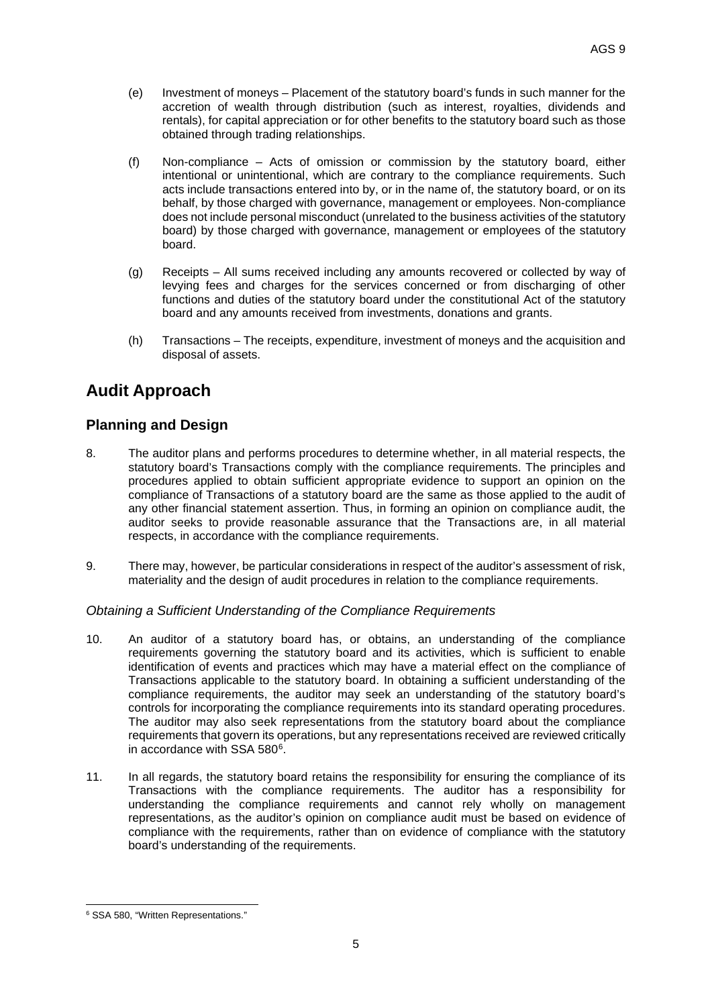- (e) Investment of moneys Placement of the statutory board's funds in such manner for the accretion of wealth through distribution (such as interest, royalties, dividends and rentals), for capital appreciation or for other benefits to the statutory board such as those obtained through trading relationships.
- (f) Non-compliance Acts of omission or commission by the statutory board, either intentional or unintentional, which are contrary to the compliance requirements. Such acts include transactions entered into by, or in the name of, the statutory board, or on its behalf, by those charged with governance, management or employees. Non-compliance does not include personal misconduct (unrelated to the business activities of the statutory board) by those charged with governance, management or employees of the statutory board.
- (g) Receipts All sums received including any amounts recovered or collected by way of levying fees and charges for the services concerned or from discharging of other functions and duties of the statutory board under the constitutional Act of the statutory board and any amounts received from investments, donations and grants.
- (h) Transactions The receipts, expenditure, investment of moneys and the acquisition and disposal of assets.

# **Audit Approach**

# **Planning and Design**

- 8. The auditor plans and performs procedures to determine whether, in all material respects, the statutory board's Transactions comply with the compliance requirements. The principles and procedures applied to obtain sufficient appropriate evidence to support an opinion on the compliance of Transactions of a statutory board are the same as those applied to the audit of any other financial statement assertion. Thus, in forming an opinion on compliance audit, the auditor seeks to provide reasonable assurance that the Transactions are, in all material respects, in accordance with the compliance requirements.
- 9. There may, however, be particular considerations in respect of the auditor's assessment of risk, materiality and the design of audit procedures in relation to the compliance requirements.

### *Obtaining a Sufficient Understanding of the Compliance Requirements*

- 10. An auditor of a statutory board has, or obtains, an understanding of the compliance requirements governing the statutory board and its activities, which is sufficient to enable identification of events and practices which may have a material effect on the compliance of Transactions applicable to the statutory board. In obtaining a sufficient understanding of the compliance requirements, the auditor may seek an understanding of the statutory board's controls for incorporating the compliance requirements into its standard operating procedures. The auditor may also seek representations from the statutory board about the compliance requirements that govern its operations, but any representations received are reviewed critically in accordance with SSA 5806.
- 11. In all regards, the statutory board retains the responsibility for ensuring the compliance of its Transactions with the compliance requirements. The auditor has a responsibility for understanding the compliance requirements and cannot rely wholly on management representations, as the auditor's opinion on compliance audit must be based on evidence of compliance with the requirements, rather than on evidence of compliance with the statutory board's understanding of the requirements.

<sup>6</sup> SSA 580, "Written Representations."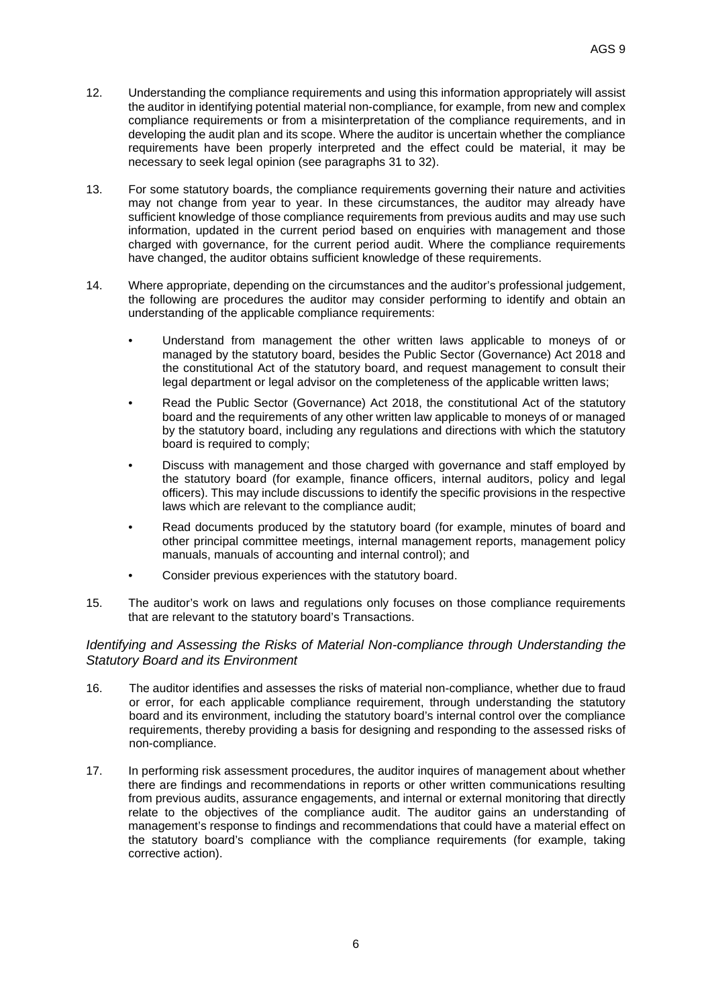- 12. Understanding the compliance requirements and using this information appropriately will assist the auditor in identifying potential material non-compliance, for example, from new and complex compliance requirements or from a misinterpretation of the compliance requirements, and in developing the audit plan and its scope. Where the auditor is uncertain whether the compliance requirements have been properly interpreted and the effect could be material, it may be necessary to seek legal opinion (see paragraphs 31 to 32).
- 13. For some statutory boards, the compliance requirements governing their nature and activities may not change from year to year. In these circumstances, the auditor may already have sufficient knowledge of those compliance requirements from previous audits and may use such information, updated in the current period based on enquiries with management and those charged with governance, for the current period audit. Where the compliance requirements have changed, the auditor obtains sufficient knowledge of these requirements.
- 14. Where appropriate, depending on the circumstances and the auditor's professional judgement, the following are procedures the auditor may consider performing to identify and obtain an understanding of the applicable compliance requirements:
	- Understand from management the other written laws applicable to moneys of or managed by the statutory board, besides the Public Sector (Governance) Act 2018 and the constitutional Act of the statutory board, and request management to consult their legal department or legal advisor on the completeness of the applicable written laws;
	- Read the Public Sector (Governance) Act 2018, the constitutional Act of the statutory board and the requirements of any other written law applicable to moneys of or managed by the statutory board, including any regulations and directions with which the statutory board is required to comply;
	- Discuss with management and those charged with governance and staff employed by the statutory board (for example, finance officers, internal auditors, policy and legal officers). This may include discussions to identify the specific provisions in the respective laws which are relevant to the compliance audit;
	- Read documents produced by the statutory board (for example, minutes of board and other principal committee meetings, internal management reports, management policy manuals, manuals of accounting and internal control); and
	- Consider previous experiences with the statutory board.
- 15. The auditor's work on laws and regulations only focuses on those compliance requirements that are relevant to the statutory board's Transactions.

#### *Identifying and Assessing the Risks of Material Non-compliance through Understanding the Statutory Board and its Environment*

- 16. The auditor identifies and assesses the risks of material non-compliance, whether due to fraud or error, for each applicable compliance requirement, through understanding the statutory board and its environment, including the statutory board's internal control over the compliance requirements, thereby providing a basis for designing and responding to the assessed risks of non-compliance.
- 17. In performing risk assessment procedures, the auditor inquires of management about whether there are findings and recommendations in reports or other written communications resulting from previous audits, assurance engagements, and internal or external monitoring that directly relate to the objectives of the compliance audit. The auditor gains an understanding of management's response to findings and recommendations that could have a material effect on the statutory board's compliance with the compliance requirements (for example, taking corrective action).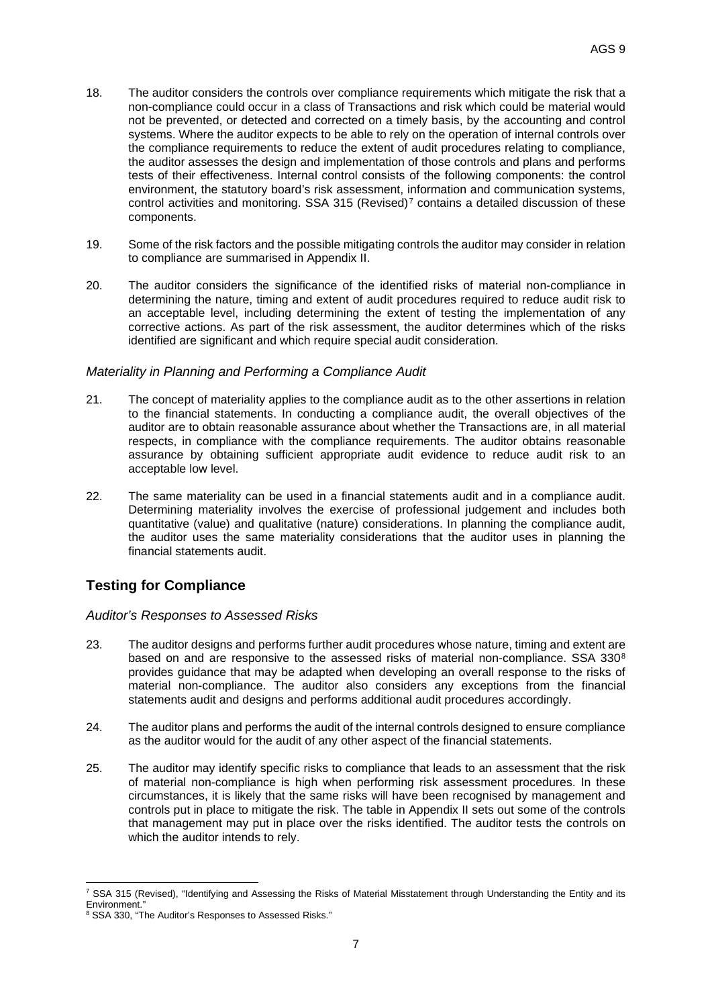- 18. The auditor considers the controls over compliance requirements which mitigate the risk that a non-compliance could occur in a class of Transactions and risk which could be material would not be prevented, or detected and corrected on a timely basis, by the accounting and control systems. Where the auditor expects to be able to rely on the operation of internal controls over the compliance requirements to reduce the extent of audit procedures relating to compliance, the auditor assesses the design and implementation of those controls and plans and performs tests of their effectiveness. Internal control consists of the following components: the control environment, the statutory board's risk assessment, information and communication systems, control activities and monitoring. SSA 315 (Revised)<sup>7</sup> contains a detailed discussion of these components.
- 19. Some of the risk factors and the possible mitigating controls the auditor may consider in relation to compliance are summarised in Appendix II.
- 20. The auditor considers the significance of the identified risks of material non-compliance in determining the nature, timing and extent of audit procedures required to reduce audit risk to an acceptable level, including determining the extent of testing the implementation of any corrective actions. As part of the risk assessment, the auditor determines which of the risks identified are significant and which require special audit consideration.

#### *Materiality in Planning and Performing a Compliance Audit*

- 21. The concept of materiality applies to the compliance audit as to the other assertions in relation to the financial statements. In conducting a compliance audit, the overall objectives of the auditor are to obtain reasonable assurance about whether the Transactions are, in all material respects, in compliance with the compliance requirements. The auditor obtains reasonable assurance by obtaining sufficient appropriate audit evidence to reduce audit risk to an acceptable low level.
- 22. The same materiality can be used in a financial statements audit and in a compliance audit. Determining materiality involves the exercise of professional judgement and includes both quantitative (value) and qualitative (nature) considerations. In planning the compliance audit, the auditor uses the same materiality considerations that the auditor uses in planning the financial statements audit.

# **Testing for Compliance**

### *Auditor's Responses to Assessed Risks*

- 23. The auditor designs and performs further audit procedures whose nature, timing and extent are based on and are responsive to the assessed risks of material non-compliance. SSA 330 $8$ provides guidance that may be adapted when developing an overall response to the risks of material non-compliance. The auditor also considers any exceptions from the financial statements audit and designs and performs additional audit procedures accordingly.
- 24. The auditor plans and performs the audit of the internal controls designed to ensure compliance as the auditor would for the audit of any other aspect of the financial statements.
- 25. The auditor may identify specific risks to compliance that leads to an assessment that the risk of material non-compliance is high when performing risk assessment procedures. In these circumstances, it is likely that the same risks will have been recognised by management and controls put in place to mitigate the risk. The table in Appendix II sets out some of the controls that management may put in place over the risks identified. The auditor tests the controls on which the auditor intends to rely.

 $7$  SSA 315 (Revised), "Identifying and Assessing the Risks of Material Misstatement through Understanding the Entity and its Environment."

<sup>8</sup> SSA 330, "The Auditor's Responses to Assessed Risks."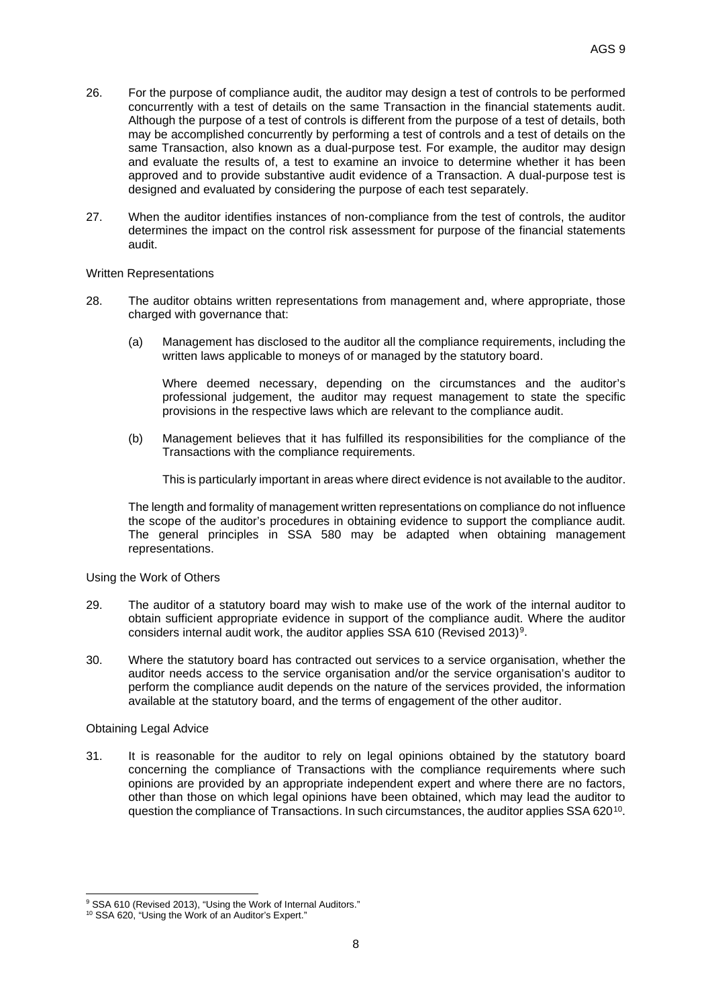- 26. For the purpose of compliance audit, the auditor may design a test of controls to be performed concurrently with a test of details on the same Transaction in the financial statements audit. Although the purpose of a test of controls is different from the purpose of a test of details, both may be accomplished concurrently by performing a test of controls and a test of details on the same Transaction, also known as a dual-purpose test. For example, the auditor may design and evaluate the results of, a test to examine an invoice to determine whether it has been approved and to provide substantive audit evidence of a Transaction. A dual-purpose test is designed and evaluated by considering the purpose of each test separately.
- 27. When the auditor identifies instances of non-compliance from the test of controls, the auditor determines the impact on the control risk assessment for purpose of the financial statements audit.

#### Written Representations

- 28. The auditor obtains written representations from management and, where appropriate, those charged with governance that:
	- (a) Management has disclosed to the auditor all the compliance requirements, including the written laws applicable to moneys of or managed by the statutory board.

Where deemed necessary, depending on the circumstances and the auditor's professional judgement, the auditor may request management to state the specific provisions in the respective laws which are relevant to the compliance audit.

(b) Management believes that it has fulfilled its responsibilities for the compliance of the Transactions with the compliance requirements.

This is particularly important in areas where direct evidence is not available to the auditor.

The length and formality of management written representations on compliance do not influence the scope of the auditor's procedures in obtaining evidence to support the compliance audit. The general principles in SSA 580 may be adapted when obtaining management representations.

Using the Work of Others

- 29. The auditor of a statutory board may wish to make use of the work of the internal auditor to obtain sufficient appropriate evidence in support of the compliance audit. Where the auditor considers internal audit work, the auditor applies SSA 610 (Revised 2013)<sup>9</sup>.
- 30. Where the statutory board has contracted out services to a service organisation, whether the auditor needs access to the service organisation and/or the service organisation's auditor to perform the compliance audit depends on the nature of the services provided, the information available at the statutory board, and the terms of engagement of the other auditor.

#### Obtaining Legal Advice

31. It is reasonable for the auditor to rely on legal opinions obtained by the statutory board concerning the compliance of Transactions with the compliance requirements where such opinions are provided by an appropriate independent expert and where there are no factors, other than those on which legal opinions have been obtained, which may lead the auditor to question the compliance of Transactions. In such circumstances, the auditor applies SSA 620<sup>10</sup>.

<sup>&</sup>lt;sup>9</sup> SSA 610 (Revised 2013), "Using the Work of Internal Auditors."

<sup>10</sup> SSA 620, "Using the Work of an Auditor's Expert."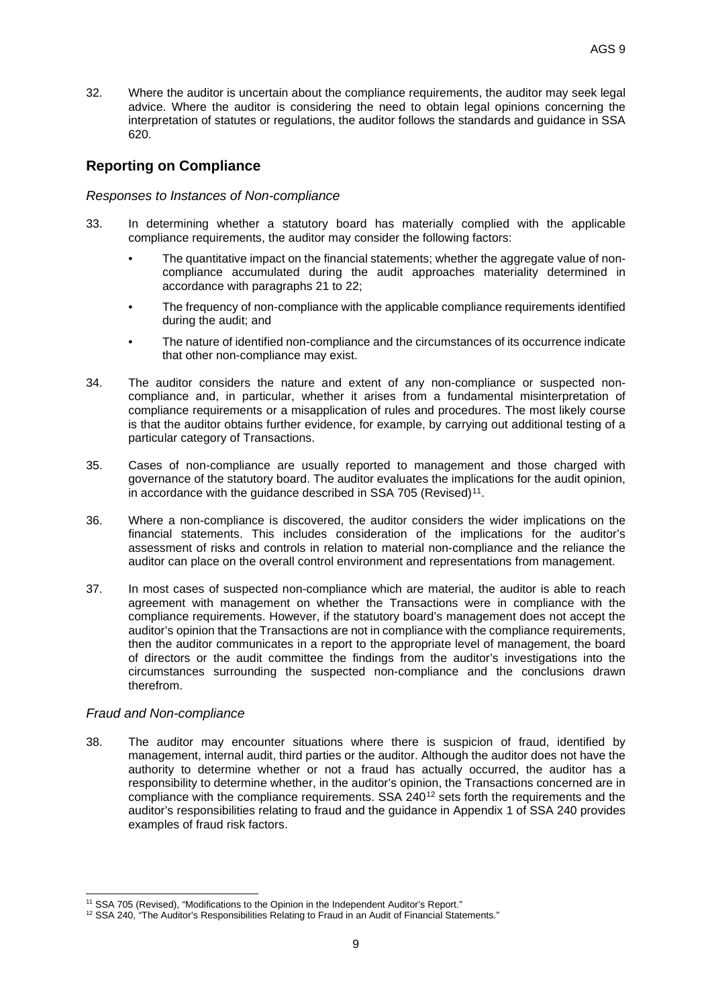32. Where the auditor is uncertain about the compliance requirements, the auditor may seek legal advice. Where the auditor is considering the need to obtain legal opinions concerning the interpretation of statutes or regulations, the auditor follows the standards and guidance in SSA 620.

# **Reporting on Compliance**

#### *Responses to Instances of Non-compliance*

- 33. In determining whether a statutory board has materially complied with the applicable compliance requirements, the auditor may consider the following factors:
	- The quantitative impact on the financial statements; whether the aggregate value of noncompliance accumulated during the audit approaches materiality determined in accordance with paragraphs 21 to 22;
	- The frequency of non-compliance with the applicable compliance requirements identified during the audit; and
	- The nature of identified non-compliance and the circumstances of its occurrence indicate that other non-compliance may exist.
- 34. The auditor considers the nature and extent of any non-compliance or suspected noncompliance and, in particular, whether it arises from a fundamental misinterpretation of compliance requirements or a misapplication of rules and procedures. The most likely course is that the auditor obtains further evidence, for example, by carrying out additional testing of a particular category of Transactions.
- 35. Cases of non-compliance are usually reported to management and those charged with governance of the statutory board. The auditor evaluates the implications for the audit opinion, in accordance with the quidance described in SSA 705 (Revised)<sup>11</sup>.
- 36. Where a non-compliance is discovered, the auditor considers the wider implications on the financial statements. This includes consideration of the implications for the auditor's assessment of risks and controls in relation to material non-compliance and the reliance the auditor can place on the overall control environment and representations from management.
- 37. In most cases of suspected non-compliance which are material, the auditor is able to reach agreement with management on whether the Transactions were in compliance with the compliance requirements. However, if the statutory board's management does not accept the auditor's opinion that the Transactions are not in compliance with the compliance requirements, then the auditor communicates in a report to the appropriate level of management, the board of directors or the audit committee the findings from the auditor's investigations into the circumstances surrounding the suspected non-compliance and the conclusions drawn therefrom.

#### *Fraud and Non-compliance*

38. The auditor may encounter situations where there is suspicion of fraud, identified by management, internal audit, third parties or the auditor. Although the auditor does not have the authority to determine whether or not a fraud has actually occurred, the auditor has a responsibility to determine whether, in the auditor's opinion, the Transactions concerned are in compliance with the compliance requirements. SSA 24012 sets forth the requirements and the auditor's responsibilities relating to fraud and the guidance in Appendix 1 of SSA 240 provides examples of fraud risk factors.

<sup>&</sup>lt;sup>11</sup> SSA 705 (Revised), "Modifications to the Opinion in the Independent Auditor's Report."

<sup>&</sup>lt;sup>12</sup> SSA 240, "The Auditor's Responsibilities Relating to Fraud in an Audit of Financial Statements."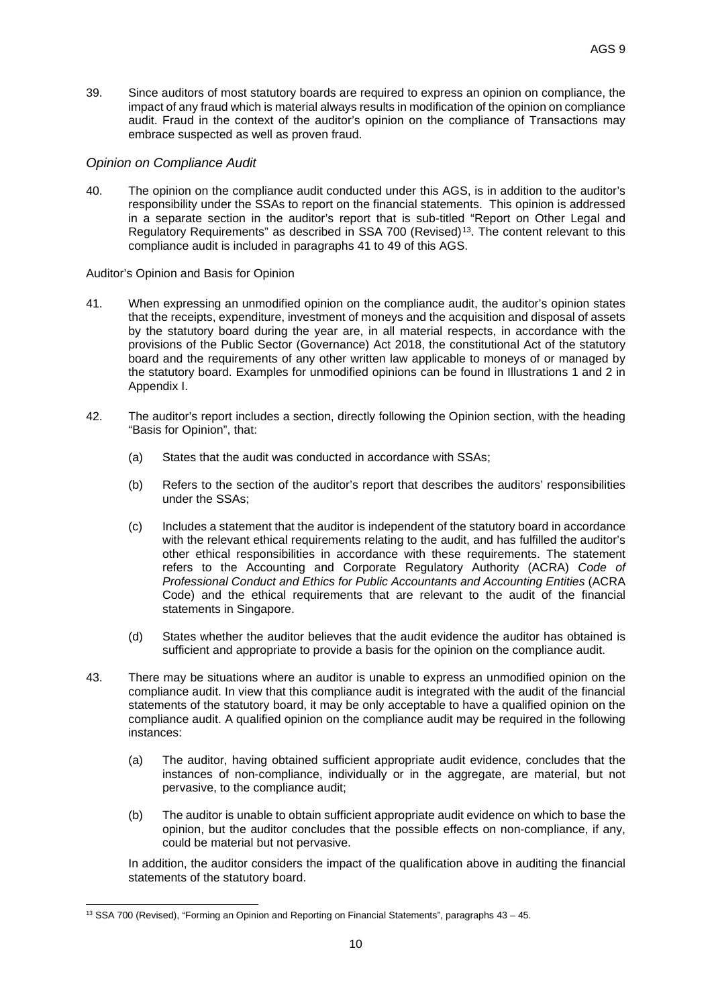39. Since auditors of most statutory boards are required to express an opinion on compliance, the impact of any fraud which is material always results in modification of the opinion on compliance audit. Fraud in the context of the auditor's opinion on the compliance of Transactions may embrace suspected as well as proven fraud.

#### *Opinion on Compliance Audit*

40. The opinion on the compliance audit conducted under this AGS, is in addition to the auditor's responsibility under the SSAs to report on the financial statements. This opinion is addressed in a separate section in the auditor's report that is sub-titled "Report on Other Legal and Requlatory Requirements" as described in SSA 700 (Revised)<sup>13</sup>. The content relevant to this compliance audit is included in paragraphs 41 to 49 of this AGS.

#### Auditor's Opinion and Basis for Opinion

- 41. When expressing an unmodified opinion on the compliance audit, the auditor's opinion states that the receipts, expenditure, investment of moneys and the acquisition and disposal of assets by the statutory board during the year are, in all material respects, in accordance with the provisions of the Public Sector (Governance) Act 2018, the constitutional Act of the statutory board and the requirements of any other written law applicable to moneys of or managed by the statutory board. Examples for unmodified opinions can be found in Illustrations 1 and 2 in Appendix I.
- 42. The auditor's report includes a section, directly following the Opinion section, with the heading "Basis for Opinion", that:
	- (a) States that the audit was conducted in accordance with SSAs;
	- (b) Refers to the section of the auditor's report that describes the auditors' responsibilities under the SSAs;
	- (c) Includes a statement that the auditor is independent of the statutory board in accordance with the relevant ethical requirements relating to the audit, and has fulfilled the auditor's other ethical responsibilities in accordance with these requirements. The statement refers to the Accounting and Corporate Regulatory Authority (ACRA) *Code of Professional Conduct and Ethics for Public Accountants and Accounting Entities* (ACRA Code) and the ethical requirements that are relevant to the audit of the financial statements in Singapore.
	- (d) States whether the auditor believes that the audit evidence the auditor has obtained is sufficient and appropriate to provide a basis for the opinion on the compliance audit.
- 43. There may be situations where an auditor is unable to express an unmodified opinion on the compliance audit. In view that this compliance audit is integrated with the audit of the financial statements of the statutory board, it may be only acceptable to have a qualified opinion on the compliance audit. A qualified opinion on the compliance audit may be required in the following instances:
	- (a) The auditor, having obtained sufficient appropriate audit evidence, concludes that the instances of non-compliance, individually or in the aggregate, are material, but not pervasive, to the compliance audit;
	- (b) The auditor is unable to obtain sufficient appropriate audit evidence on which to base the opinion, but the auditor concludes that the possible effects on non-compliance, if any, could be material but not pervasive.

In addition, the auditor considers the impact of the qualification above in auditing the financial statements of the statutory board.

<sup>13</sup> SSA 700 (Revised), "Forming an Opinion and Reporting on Financial Statements", paragraphs 43 – 45.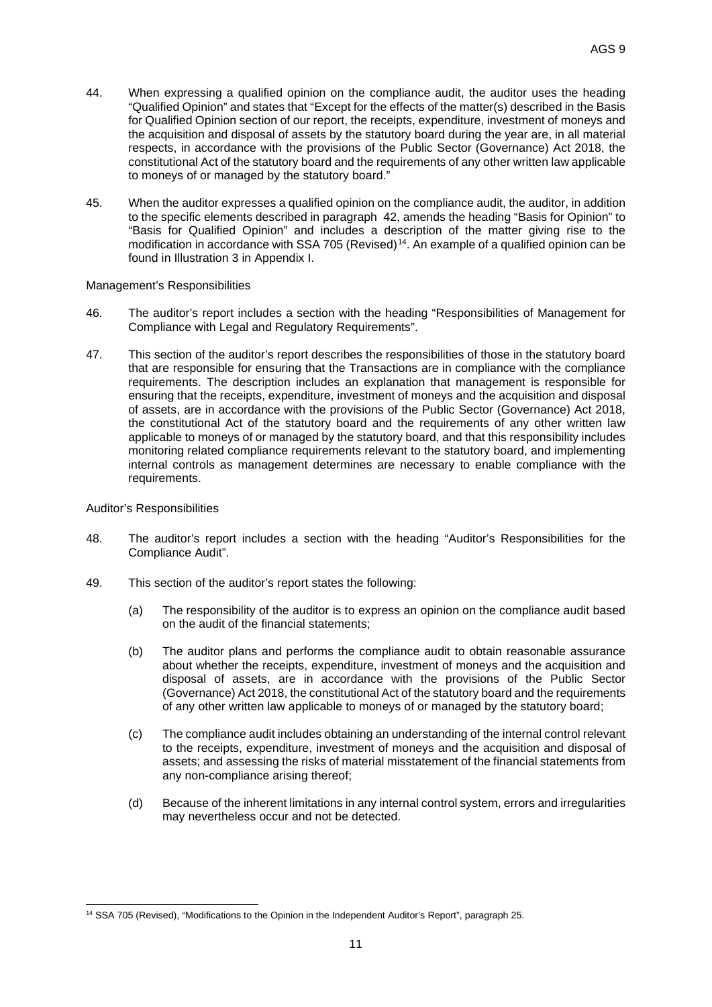- 44. When expressing a qualified opinion on the compliance audit, the auditor uses the heading "Qualified Opinion" and states that "Except for the effects of the matter(s) described in the Basis for Qualified Opinion section of our report, the receipts, expenditure, investment of moneys and the acquisition and disposal of assets by the statutory board during the year are, in all material respects, in accordance with the provisions of the Public Sector (Governance) Act 2018, the constitutional Act of the statutory board and the requirements of any other written law applicable to moneys of or managed by the statutory board."
- 45. When the auditor expresses a qualified opinion on the compliance audit, the auditor, in addition to the specific elements described in paragraph 42, amends the heading "Basis for Opinion" to "Basis for Qualified Opinion" and includes a description of the matter giving rise to the modification in accordance with SSA 705 (Revised)<sup>14</sup>. An example of a qualified opinion can be found in Illustration 3 in Appendix I.

#### Management's Responsibilities

- 46. The auditor's report includes a section with the heading "Responsibilities of Management for Compliance with Legal and Regulatory Requirements".
- 47. This section of the auditor's report describes the responsibilities of those in the statutory board that are responsible for ensuring that the Transactions are in compliance with the compliance requirements. The description includes an explanation that management is responsible for ensuring that the receipts, expenditure, investment of moneys and the acquisition and disposal of assets, are in accordance with the provisions of the Public Sector (Governance) Act 2018, the constitutional Act of the statutory board and the requirements of any other written law applicable to moneys of or managed by the statutory board, and that this responsibility includes monitoring related compliance requirements relevant to the statutory board, and implementing internal controls as management determines are necessary to enable compliance with the requirements.

#### Auditor's Responsibilities

- 48. The auditor's report includes a section with the heading "Auditor's Responsibilities for the Compliance Audit".
- 49. This section of the auditor's report states the following:
	- (a) The responsibility of the auditor is to express an opinion on the compliance audit based on the audit of the financial statements;
	- (b) The auditor plans and performs the compliance audit to obtain reasonable assurance about whether the receipts, expenditure, investment of moneys and the acquisition and disposal of assets, are in accordance with the provisions of the Public Sector (Governance) Act 2018, the constitutional Act of the statutory board and the requirements of any other written law applicable to moneys of or managed by the statutory board;
	- (c) The compliance audit includes obtaining an understanding of the internal control relevant to the receipts, expenditure, investment of moneys and the acquisition and disposal of assets; and assessing the risks of material misstatement of the financial statements from any non-compliance arising thereof;
	- (d) Because of the inherent limitations in any internal control system, errors and irregularities may nevertheless occur and not be detected.

<sup>14</sup> SSA 705 (Revised), "Modifications to the Opinion in the Independent Auditor's Report", paragraph 25.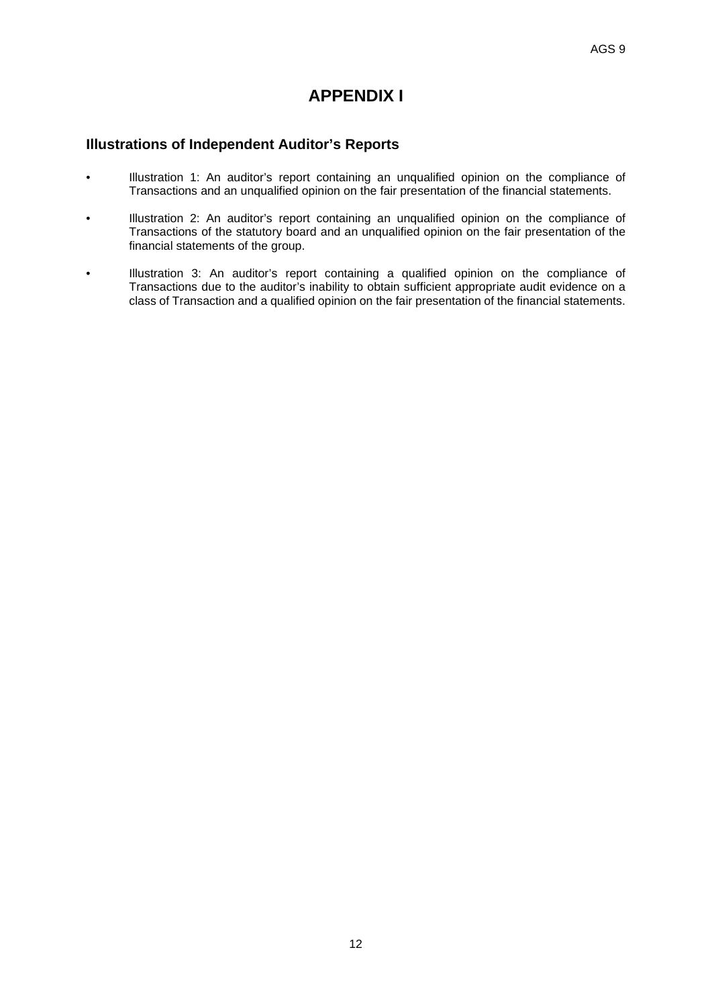# **APPENDIX I**

### **Illustrations of Independent Auditor's Reports**

- Illustration 1: An auditor's report containing an unqualified opinion on the compliance of Transactions and an unqualified opinion on the fair presentation of the financial statements.
- Illustration 2: An auditor's report containing an unqualified opinion on the compliance of Transactions of the statutory board and an unqualified opinion on the fair presentation of the financial statements of the group.
- Illustration 3: An auditor's report containing a qualified opinion on the compliance of Transactions due to the auditor's inability to obtain sufficient appropriate audit evidence on a class of Transaction and a qualified opinion on the fair presentation of the financial statements.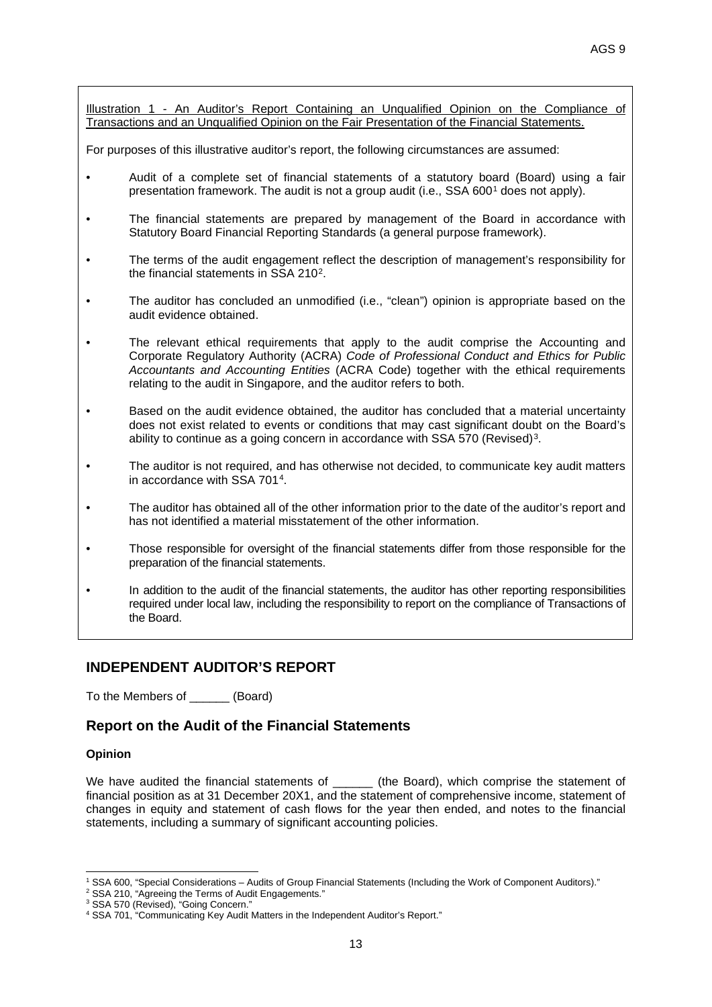Illustration 1 - An Auditor's Report Containing an Unqualified Opinion on the Compliance of Transactions and an Unqualified Opinion on the Fair Presentation of the Financial Statements.

For purposes of this illustrative auditor's report, the following circumstances are assumed:

- Audit of a complete set of financial statements of a statutory board (Board) using a fair presentation framework. The audit is not a group audit (i.e., SSA 6001 does not apply).
- The financial statements are prepared by management of the Board in accordance with Statutory Board Financial Reporting Standards (a general purpose framework).
- The terms of the audit engagement reflect the description of management's responsibility for the financial statements in SSA 210<sup>2</sup>.
- The auditor has concluded an unmodified (i.e., "clean") opinion is appropriate based on the audit evidence obtained.
- The relevant ethical requirements that apply to the audit comprise the Accounting and Corporate Regulatory Authority (ACRA) *Code of Professional Conduct and Ethics for Public Accountants and Accounting Entities* (ACRA Code) together with the ethical requirements relating to the audit in Singapore, and the auditor refers to both.
- Based on the audit evidence obtained, the auditor has concluded that a material uncertainty does not exist related to events or conditions that may cast significant doubt on the Board's ability to continue as a going concern in accordance with SSA 570 (Revised)3.
- The auditor is not required, and has otherwise not decided, to communicate key audit matters in accordance with SSA 7014.
- The auditor has obtained all of the other information prior to the date of the auditor's report and has not identified a material misstatement of the other information.
- Those responsible for oversight of the financial statements differ from those responsible for the preparation of the financial statements.
- In addition to the audit of the financial statements, the auditor has other reporting responsibilities required under local law, including the responsibility to report on the compliance of Transactions of the Board.

# **INDEPENDENT AUDITOR'S REPORT**

To the Members of (Board)

### **Report on the Audit of the Financial Statements**

#### **Opinion**

We have audited the financial statements of  $\qquad$  (the Board), which comprise the statement of financial position as at 31 December 20X1, and the statement of comprehensive income, statement of changes in equity and statement of cash flows for the year then ended, and notes to the financial statements, including a summary of significant accounting policies.

<sup>1</sup> SSA 600, "Special Considerations – Audits of Group Financial Statements (Including the Work of Component Auditors)."

<sup>&</sup>lt;sup>2</sup> SSA 210, "Agreeing the Terms of Audit Engagements."

<sup>3</sup> SSA 570 (Revised), "Going Concern."

<sup>4</sup> SSA 701, "Communicating Key Audit Matters in the Independent Auditor's Report."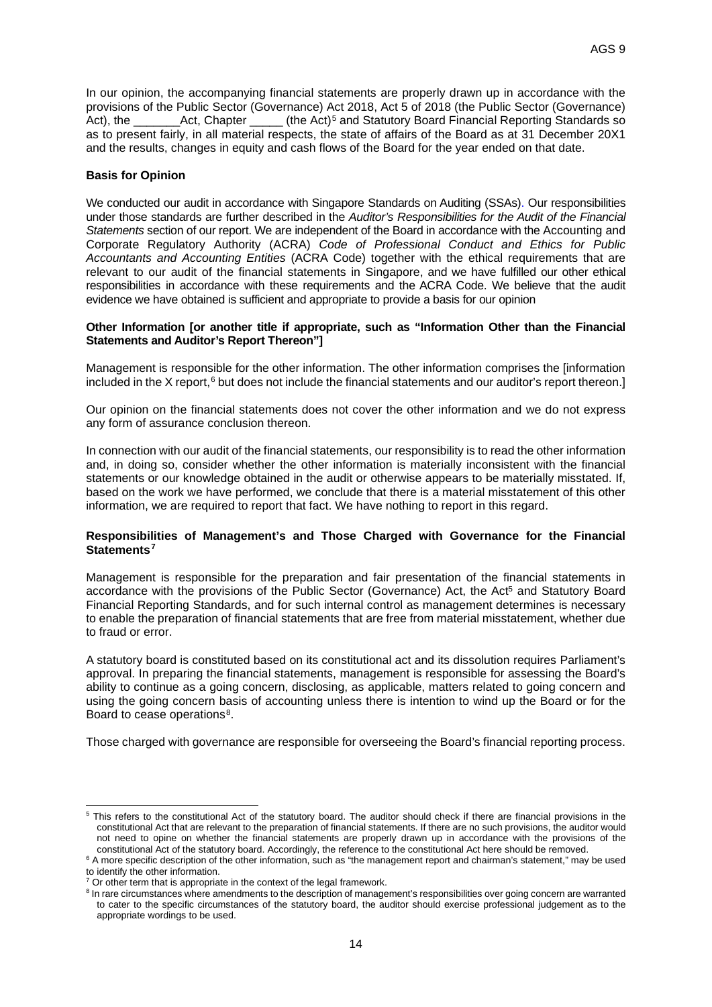In our opinion, the accompanying financial statements are properly drawn up in accordance with the provisions of the Public Sector (Governance) Act 2018, Act 5 of 2018 (the Public Sector (Governance) Act), the \_\_\_\_\_\_\_Act, Chapter \_\_\_\_\_ (the Act)5 and Statutory Board Financial Reporting Standards so as to present fairly, in all material respects, the state of affairs of the Board as at 31 December 20X1 and the results, changes in equity and cash flows of the Board for the year ended on that date.

#### **Basis for Opinion**

We conducted our audit in accordance with Singapore Standards on Auditing (SSAs). Our responsibilities under those standards are further described in the *Auditor's Responsibilities for the Audit of the Financial Statements* section of our report. We are independent of the Board in accordance with the Accounting and Corporate Regulatory Authority (ACRA) *Code of Professional Conduct and Ethics for Public Accountants and Accounting Entities* (ACRA Code) together with the ethical requirements that are relevant to our audit of the financial statements in Singapore, and we have fulfilled our other ethical responsibilities in accordance with these requirements and the ACRA Code. We believe that the audit evidence we have obtained is sufficient and appropriate to provide a basis for our opinion

#### **Other Information [or another title if appropriate, such as "Information Other than the Financial Statements and Auditor's Report Thereon"]**

Management is responsible for the other information. The other information comprises the [information included in the X report,<sup>6</sup> but does not include the financial statements and our auditor's report thereon.]

Our opinion on the financial statements does not cover the other information and we do not express any form of assurance conclusion thereon.

In connection with our audit of the financial statements, our responsibility is to read the other information and, in doing so, consider whether the other information is materially inconsistent with the financial statements or our knowledge obtained in the audit or otherwise appears to be materially misstated. If, based on the work we have performed, we conclude that there is a material misstatement of this other information, we are required to report that fact. We have nothing to report in this regard.

#### **Responsibilities of Management's and Those Charged with Governance for the Financial Statements7**

Management is responsible for the preparation and fair presentation of the financial statements in accordance with the provisions of the Public Sector (Governance) Act, the Act<sup>5</sup> and Statutory Board Financial Reporting Standards, and for such internal control as management determines is necessary to enable the preparation of financial statements that are free from material misstatement, whether due to fraud or error.

A statutory board is constituted based on its constitutional act and its dissolution requires Parliament's approval. In preparing the financial statements, management is responsible for assessing the Board's ability to continue as a going concern, disclosing, as applicable, matters related to going concern and using the going concern basis of accounting unless there is intention to wind up the Board or for the Board to cease operations<sup>8</sup>.

Those charged with governance are responsible for overseeing the Board's financial reporting process.

<sup>&</sup>lt;sup>5</sup> This refers to the constitutional Act of the statutory board. The auditor should check if there are financial provisions in the constitutional Act that are relevant to the preparation of financial statements. If there are no such provisions, the auditor would not need to opine on whether the financial statements are properly drawn up in accordance with the provisions of the constitutional Act of the statutory board. Accordingly, the reference to the constitutional Act here should be removed.

<sup>&</sup>lt;sup>6</sup> A more specific description of the other information, such as "the management report and chairman's statement," may be used to identify the other information.

Or other term that is appropriate in the context of the legal framework.

<sup>&</sup>lt;sup>8</sup> In rare circumstances where amendments to the description of management's responsibilities over going concern are warranted to cater to the specific circumstances of the statutory board, the auditor should exercise professional judgement as to the appropriate wordings to be used.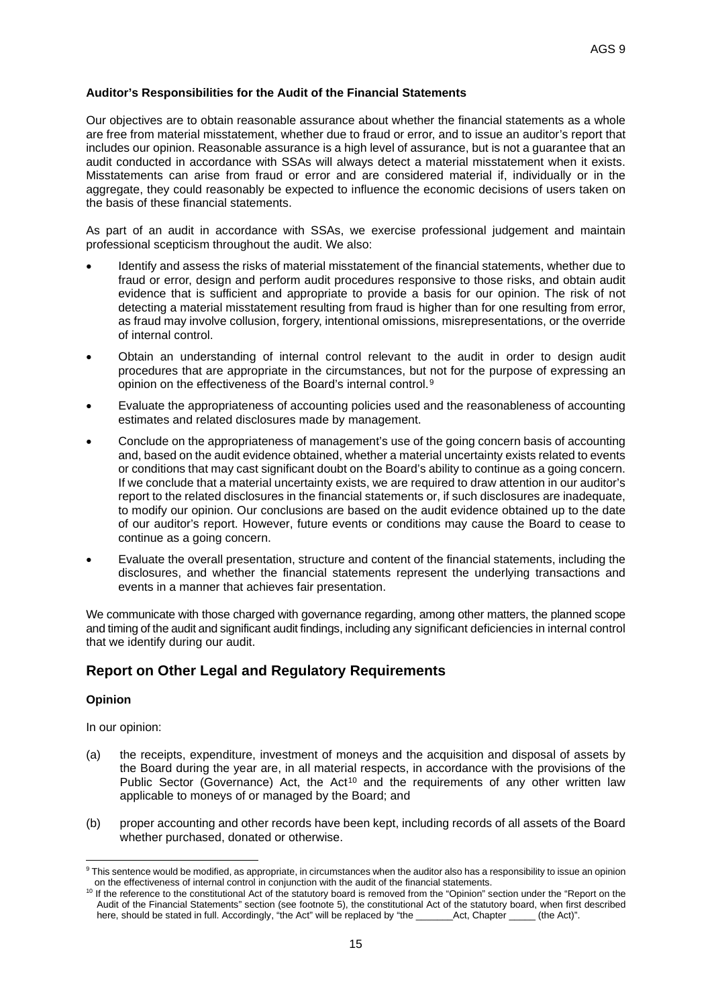#### **Auditor's Responsibilities for the Audit of the Financial Statements**

Our objectives are to obtain reasonable assurance about whether the financial statements as a whole are free from material misstatement, whether due to fraud or error, and to issue an auditor's report that includes our opinion. Reasonable assurance is a high level of assurance, but is not a guarantee that an audit conducted in accordance with SSAs will always detect a material misstatement when it exists. Misstatements can arise from fraud or error and are considered material if, individually or in the aggregate, they could reasonably be expected to influence the economic decisions of users taken on the basis of these financial statements.

As part of an audit in accordance with SSAs, we exercise professional judgement and maintain professional scepticism throughout the audit. We also:

- Identify and assess the risks of material misstatement of the financial statements, whether due to fraud or error, design and perform audit procedures responsive to those risks, and obtain audit evidence that is sufficient and appropriate to provide a basis for our opinion. The risk of not detecting a material misstatement resulting from fraud is higher than for one resulting from error, as fraud may involve collusion, forgery, intentional omissions, misrepresentations, or the override of internal control.
- Obtain an understanding of internal control relevant to the audit in order to design audit procedures that are appropriate in the circumstances, but not for the purpose of expressing an opinion on the effectiveness of the Board's internal control.9
- Evaluate the appropriateness of accounting policies used and the reasonableness of accounting estimates and related disclosures made by management.
- Conclude on the appropriateness of management's use of the going concern basis of accounting and, based on the audit evidence obtained, whether a material uncertainty exists related to events or conditions that may cast significant doubt on the Board's ability to continue as a going concern. If we conclude that a material uncertainty exists, we are required to draw attention in our auditor's report to the related disclosures in the financial statements or, if such disclosures are inadequate, to modify our opinion. Our conclusions are based on the audit evidence obtained up to the date of our auditor's report. However, future events or conditions may cause the Board to cease to continue as a going concern.
- Evaluate the overall presentation, structure and content of the financial statements, including the disclosures, and whether the financial statements represent the underlying transactions and events in a manner that achieves fair presentation.

We communicate with those charged with governance regarding, among other matters, the planned scope and timing of the audit and significant audit findings, including any significant deficiencies in internal control that we identify during our audit.

### **Report on Other Legal and Regulatory Requirements**

#### **Opinion**

In our opinion:

- (a) the receipts, expenditure, investment of moneys and the acquisition and disposal of assets by the Board during the year are, in all material respects, in accordance with the provisions of the Public Sector (Governance) Act, the  $Act^{10}$  and the requirements of any other written law applicable to moneys of or managed by the Board; and
- (b) proper accounting and other records have been kept, including records of all assets of the Board whether purchased, donated or otherwise.

<sup>&</sup>lt;sup>9</sup> This sentence would be modified, as appropriate, in circumstances when the auditor also has a responsibility to issue an opinion on the effectiveness of internal control in conjunction with the audit of the financial s

<sup>&</sup>lt;sup>10</sup> If the reference to the constitutional Act of the statutory board is removed from the "Opinion" section under the "Report on the Audit of the Financial Statements" section (see footnote 5), the constitutional Act of the statutory board, when first described here, should be stated in full. Accordingly, "the Act" will be replaced by "the \_\_\_\_\_\_\_Act, Chapter \_\_\_\_\_ (the Act)".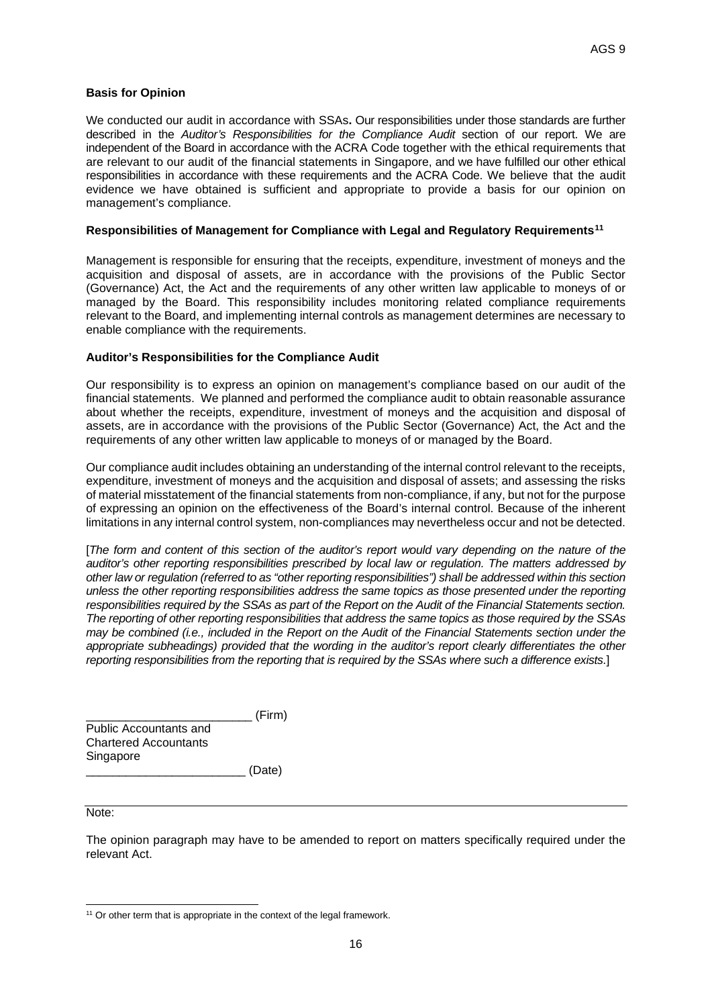#### **Basis for Opinion**

We conducted our audit in accordance with SSAs**.** Our responsibilities under those standards are further described in the *Auditor's Responsibilities for the Compliance Audit* section of our report. We are independent of the Board in accordance with the ACRA Code together with the ethical requirements that are relevant to our audit of the financial statements in Singapore, and we have fulfilled our other ethical responsibilities in accordance with these requirements and the ACRA Code. We believe that the audit evidence we have obtained is sufficient and appropriate to provide a basis for our opinion on management's compliance.

#### Responsibilities of Management for Compliance with Legal and Regulatory Requirements<sup>11</sup>

Management is responsible for ensuring that the receipts, expenditure, investment of moneys and the acquisition and disposal of assets, are in accordance with the provisions of the Public Sector (Governance) Act, the Act and the requirements of any other written law applicable to moneys of or managed by the Board. This responsibility includes monitoring related compliance requirements relevant to the Board, and implementing internal controls as management determines are necessary to enable compliance with the requirements.

#### **Auditor's Responsibilities for the Compliance Audit**

Our responsibility is to express an opinion on management's compliance based on our audit of the financial statements. We planned and performed the compliance audit to obtain reasonable assurance about whether the receipts, expenditure, investment of moneys and the acquisition and disposal of assets, are in accordance with the provisions of the Public Sector (Governance) Act, the Act and the requirements of any other written law applicable to moneys of or managed by the Board.

Our compliance audit includes obtaining an understanding of the internal control relevant to the receipts, expenditure, investment of moneys and the acquisition and disposal of assets; and assessing the risks of material misstatement of the financial statements from non-compliance, if any, but not for the purpose of expressing an opinion on the effectiveness of the Board's internal control. Because of the inherent limitations in any internal control system, non-compliances may nevertheless occur and not be detected.

[*The form and content of this section of the auditor's report would vary depending on the nature of the auditor's other reporting responsibilities prescribed by local law or regulation. The matters addressed by other law or regulation (referred to as "other reporting responsibilities") shall be addressed within this section unless the other reporting responsibilities address the same topics as those presented under the reporting responsibilities required by the SSAs as part of the Report on the Audit of the Financial Statements section. The reporting of other reporting responsibilities that address the same topics as those required by the SSAs may be combined (i.e., included in the Report on the Audit of the Financial Statements section under the appropriate subheadings) provided that the wording in the auditor's report clearly differentiates the other reporting responsibilities from the reporting that is required by the SSAs where such a difference exists.*]

|                              | (Firm) |
|------------------------------|--------|
| Public Accountants and       |        |
| <b>Chartered Accountants</b> |        |
| Singapore                    |        |
|                              | (Date) |

Note:

The opinion paragraph may have to be amended to report on matters specifically required under the relevant Act.

<sup>&</sup>lt;sup>11</sup> Or other term that is appropriate in the context of the legal framework.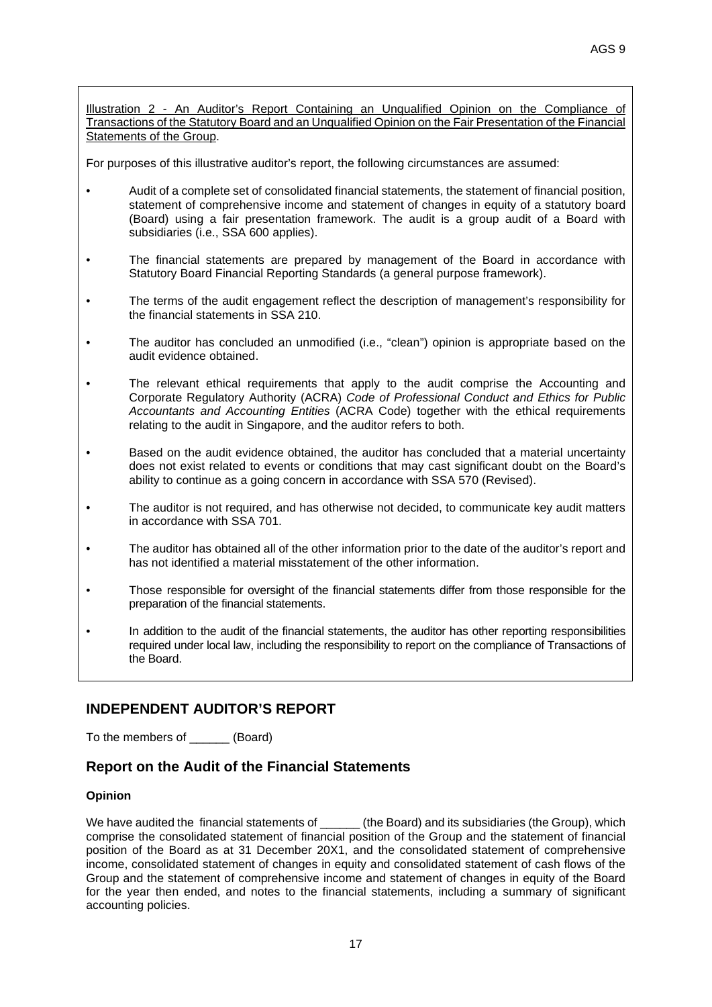Illustration 2 - An Auditor's Report Containing an Unqualified Opinion on the Compliance of Transactions of the Statutory Board and an Unqualified Opinion on the Fair Presentation of the Financial Statements of the Group.

For purposes of this illustrative auditor's report, the following circumstances are assumed:

- Audit of a complete set of consolidated financial statements, the statement of financial position, statement of comprehensive income and statement of changes in equity of a statutory board (Board) using a fair presentation framework. The audit is a group audit of a Board with subsidiaries (i.e., SSA 600 applies).
- The financial statements are prepared by management of the Board in accordance with Statutory Board Financial Reporting Standards (a general purpose framework).
- The terms of the audit engagement reflect the description of management's responsibility for the financial statements in SSA 210.
- The auditor has concluded an unmodified (i.e., "clean") opinion is appropriate based on the audit evidence obtained.
- The relevant ethical requirements that apply to the audit comprise the Accounting and Corporate Regulatory Authority (ACRA) *Code of Professional Conduct and Ethics for Public Accountants and Accounting Entities* (ACRA Code) together with the ethical requirements relating to the audit in Singapore, and the auditor refers to both.
- Based on the audit evidence obtained, the auditor has concluded that a material uncertainty does not exist related to events or conditions that may cast significant doubt on the Board's ability to continue as a going concern in accordance with SSA 570 (Revised).
- The auditor is not required, and has otherwise not decided, to communicate key audit matters in accordance with SSA 701.
- The auditor has obtained all of the other information prior to the date of the auditor's report and has not identified a material misstatement of the other information.
- Those responsible for oversight of the financial statements differ from those responsible for the preparation of the financial statements.
- In addition to the audit of the financial statements, the auditor has other reporting responsibilities required under local law, including the responsibility to report on the compliance of Transactions of the Board.

# **INDEPENDENT AUDITOR'S REPORT**

To the members of \_\_\_\_\_\_ (Board)

# **Report on the Audit of the Financial Statements**

#### **Opinion**

We have audited the financial statements of (the Board) and its subsidiaries (the Group), which comprise the consolidated statement of financial position of the Group and the statement of financial position of the Board as at 31 December 20X1, and the consolidated statement of comprehensive income, consolidated statement of changes in equity and consolidated statement of cash flows of the Group and the statement of comprehensive income and statement of changes in equity of the Board for the year then ended, and notes to the financial statements, including a summary of significant accounting policies.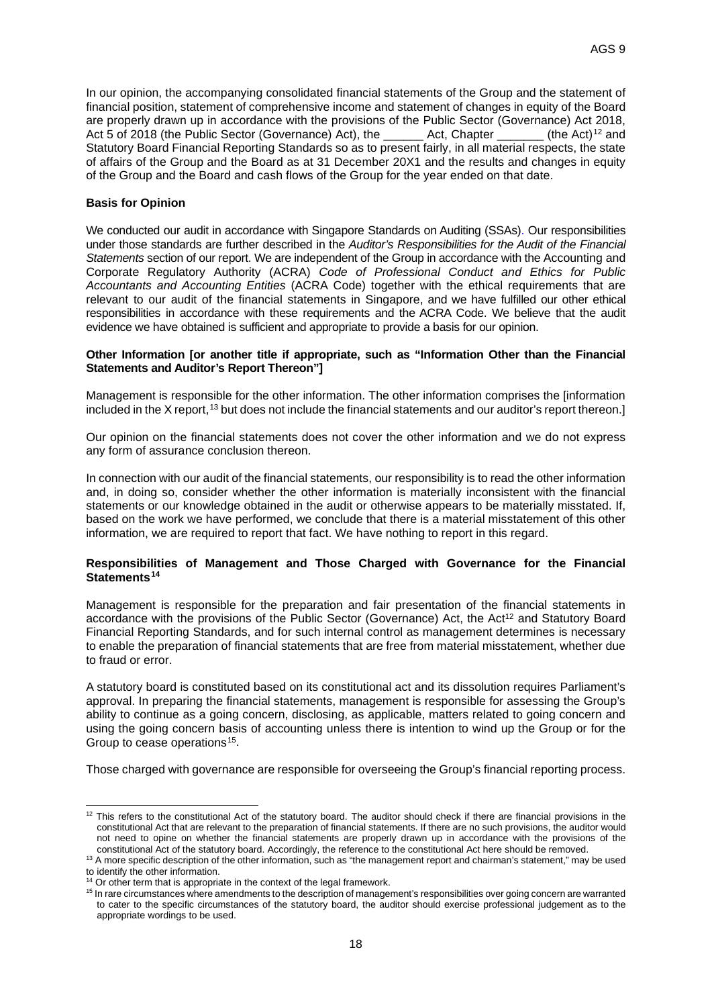In our opinion, the accompanying consolidated financial statements of the Group and the statement of financial position, statement of comprehensive income and statement of changes in equity of the Board are properly drawn up in accordance with the provisions of the Public Sector (Governance) Act 2018, Act 5 of 2018 (the Public Sector (Governance) Act), the \_\_\_\_\_\_\_\_\_ Act, Chapter \_\_\_\_\_\_\_\_ (the Act)<sup>12</sup> and Statutory Board Financial Reporting Standards so as to present fairly, in all material respects, the state of affairs of the Group and the Board as at 31 December 20X1 and the results and changes in equity of the Group and the Board and cash flows of the Group for the year ended on that date.

#### **Basis for Opinion**

We conducted our audit in accordance with Singapore Standards on Auditing (SSAs). Our responsibilities under those standards are further described in the *Auditor's Responsibilities for the Audit of the Financial Statements* section of our report. We are independent of the Group in accordance with the Accounting and Corporate Regulatory Authority (ACRA) *Code of Professional Conduct and Ethics for Public Accountants and Accounting Entities* (ACRA Code) together with the ethical requirements that are relevant to our audit of the financial statements in Singapore, and we have fulfilled our other ethical responsibilities in accordance with these requirements and the ACRA Code. We believe that the audit evidence we have obtained is sufficient and appropriate to provide a basis for our opinion.

#### **Other Information [or another title if appropriate, such as "Information Other than the Financial Statements and Auditor's Report Thereon"]**

Management is responsible for the other information. The other information comprises the [information included in the X report, <sup>13</sup> but does not include the financial statements and our auditor's report thereon.]

Our opinion on the financial statements does not cover the other information and we do not express any form of assurance conclusion thereon.

In connection with our audit of the financial statements, our responsibility is to read the other information and, in doing so, consider whether the other information is materially inconsistent with the financial statements or our knowledge obtained in the audit or otherwise appears to be materially misstated. If, based on the work we have performed, we conclude that there is a material misstatement of this other information, we are required to report that fact. We have nothing to report in this regard.

#### **Responsibilities of Management and Those Charged with Governance for the Financial**  Statements<sup>14</sup>

Management is responsible for the preparation and fair presentation of the financial statements in accordance with the provisions of the Public Sector (Governance) Act, the Act<sup>12</sup> and Statutory Board Financial Reporting Standards, and for such internal control as management determines is necessary to enable the preparation of financial statements that are free from material misstatement, whether due to fraud or error.

A statutory board is constituted based on its constitutional act and its dissolution requires Parliament's approval. In preparing the financial statements, management is responsible for assessing the Group's ability to continue as a going concern, disclosing, as applicable, matters related to going concern and using the going concern basis of accounting unless there is intention to wind up the Group or for the Group to cease operations<sup>15</sup>.

Those charged with governance are responsible for overseeing the Group's financial reporting process.

 $12$  This refers to the constitutional Act of the statutory board. The auditor should check if there are financial provisions in the constitutional Act that are relevant to the preparation of financial statements. If there are no such provisions, the auditor would not need to opine on whether the financial statements are properly drawn up in accordance with the provisions of the constitutional Act of the statutory board. Accordingly, the reference to the constitutional Act here should be removed.

<sup>&</sup>lt;sup>13</sup> A more specific description of the other information, such as "the management report and chairman's statement," may be used to identify the other information.

<sup>&</sup>lt;sup>14</sup> Or other term that is appropriate in the context of the legal framework.

<sup>&</sup>lt;sup>15</sup> In rare circumstances where amendments to the description of management's responsibilities over going concern are warranted to cater to the specific circumstances of the statutory board, the auditor should exercise professional judgement as to the appropriate wordings to be used.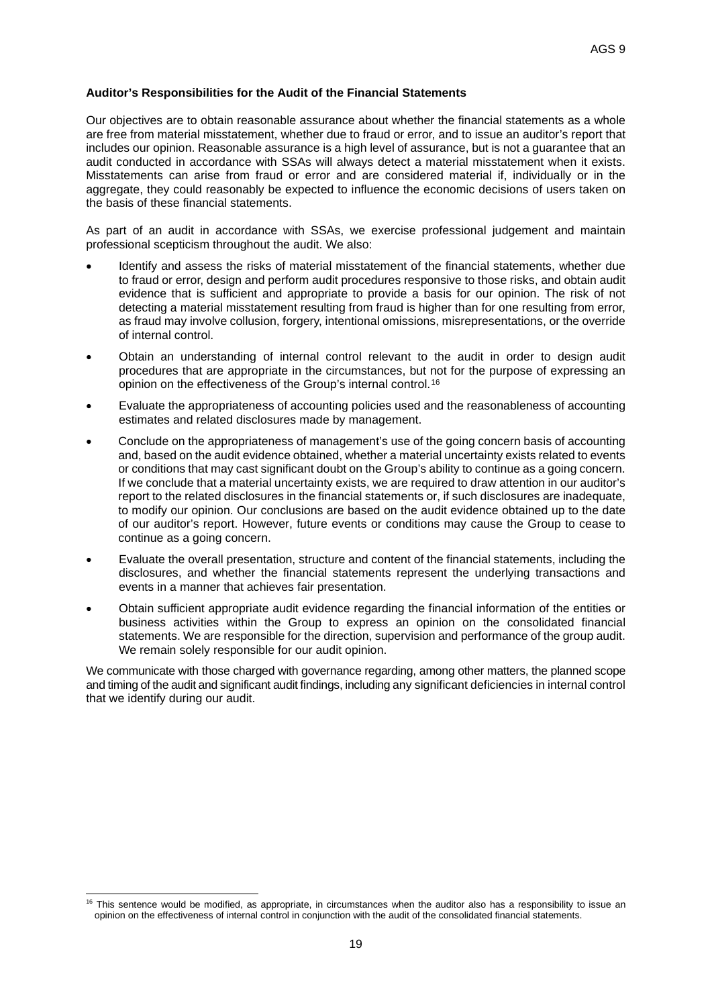#### **Auditor's Responsibilities for the Audit of the Financial Statements**

Our objectives are to obtain reasonable assurance about whether the financial statements as a whole are free from material misstatement, whether due to fraud or error, and to issue an auditor's report that includes our opinion. Reasonable assurance is a high level of assurance, but is not a guarantee that an audit conducted in accordance with SSAs will always detect a material misstatement when it exists. Misstatements can arise from fraud or error and are considered material if, individually or in the aggregate, they could reasonably be expected to influence the economic decisions of users taken on the basis of these financial statements.

As part of an audit in accordance with SSAs, we exercise professional judgement and maintain professional scepticism throughout the audit. We also:

- Identify and assess the risks of material misstatement of the financial statements, whether due to fraud or error, design and perform audit procedures responsive to those risks, and obtain audit evidence that is sufficient and appropriate to provide a basis for our opinion. The risk of not detecting a material misstatement resulting from fraud is higher than for one resulting from error, as fraud may involve collusion, forgery, intentional omissions, misrepresentations, or the override of internal control.
- Obtain an understanding of internal control relevant to the audit in order to design audit procedures that are appropriate in the circumstances, but not for the purpose of expressing an opinion on the effectiveness of the Group's internal control.16
- Evaluate the appropriateness of accounting policies used and the reasonableness of accounting estimates and related disclosures made by management.
- Conclude on the appropriateness of management's use of the going concern basis of accounting and, based on the audit evidence obtained, whether a material uncertainty exists related to events or conditions that may cast significant doubt on the Group's ability to continue as a going concern. If we conclude that a material uncertainty exists, we are required to draw attention in our auditor's report to the related disclosures in the financial statements or, if such disclosures are inadequate, to modify our opinion. Our conclusions are based on the audit evidence obtained up to the date of our auditor's report. However, future events or conditions may cause the Group to cease to continue as a going concern.
- Evaluate the overall presentation, structure and content of the financial statements, including the disclosures, and whether the financial statements represent the underlying transactions and events in a manner that achieves fair presentation.
- Obtain sufficient appropriate audit evidence regarding the financial information of the entities or business activities within the Group to express an opinion on the consolidated financial statements. We are responsible for the direction, supervision and performance of the group audit. We remain solely responsible for our audit opinion.

We communicate with those charged with governance regarding, among other matters, the planned scope and timing of the audit and significant audit findings, including any significant deficiencies in internal control that we identify during our audit.

<sup>&</sup>lt;sup>16</sup> This sentence would be modified, as appropriate, in circumstances when the auditor also has a responsibility to issue an opinion on the effectiveness of internal control in conjunction with the audit of the consolidated financial statements.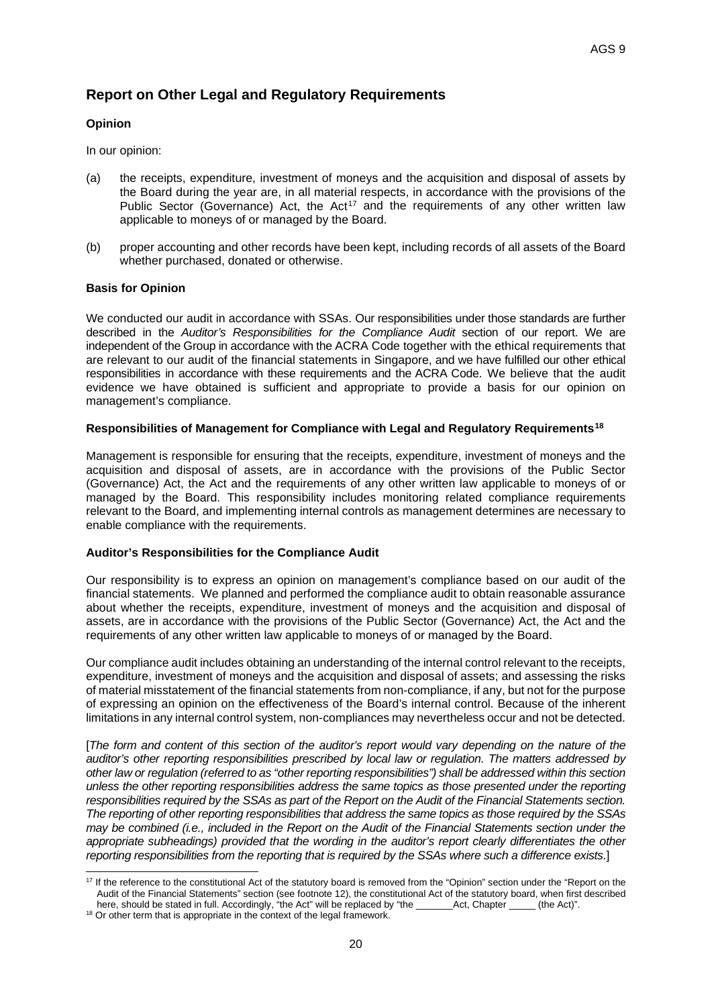# **Report on Other Legal and Regulatory Requirements**

#### **Opinion**

In our opinion:

- (a) the receipts, expenditure, investment of moneys and the acquisition and disposal of assets by the Board during the year are, in all material respects, in accordance with the provisions of the Public Sector (Governance) Act, the Act<sup>17</sup> and the requirements of any other written law applicable to moneys of or managed by the Board.
- (b) proper accounting and other records have been kept, including records of all assets of the Board whether purchased, donated or otherwise.

#### **Basis for Opinion**

We conducted our audit in accordance with SSAs. Our responsibilities under those standards are further described in the *Auditor's Responsibilities for the Compliance Audit* section of our report. We are independent of the Group in accordance with the ACRA Code together with the ethical requirements that are relevant to our audit of the financial statements in Singapore, and we have fulfilled our other ethical responsibilities in accordance with these requirements and the ACRA Code. We believe that the audit evidence we have obtained is sufficient and appropriate to provide a basis for our opinion on management's compliance.

#### **Responsibilities of Management for Compliance with Legal and Regulatory Requirements18**

Management is responsible for ensuring that the receipts, expenditure, investment of moneys and the acquisition and disposal of assets, are in accordance with the provisions of the Public Sector (Governance) Act, the Act and the requirements of any other written law applicable to moneys of or managed by the Board. This responsibility includes monitoring related compliance requirements relevant to the Board, and implementing internal controls as management determines are necessary to enable compliance with the requirements.

#### **Auditor's Responsibilities for the Compliance Audit**

Our responsibility is to express an opinion on management's compliance based on our audit of the financial statements. We planned and performed the compliance audit to obtain reasonable assurance about whether the receipts, expenditure, investment of moneys and the acquisition and disposal of assets, are in accordance with the provisions of the Public Sector (Governance) Act, the Act and the requirements of any other written law applicable to moneys of or managed by the Board.

Our compliance audit includes obtaining an understanding of the internal control relevant to the receipts, expenditure, investment of moneys and the acquisition and disposal of assets; and assessing the risks of material misstatement of the financial statements from non-compliance, if any, but not for the purpose of expressing an opinion on the effectiveness of the Board's internal control. Because of the inherent limitations in any internal control system, non-compliances may nevertheless occur and not be detected.

[*The form and content of this section of the auditor's report would vary depending on the nature of the auditor's other reporting responsibilities prescribed by local law or regulation. The matters addressed by other law or regulation (referred to as "other reporting responsibilities") shall be addressed within this section unless the other reporting responsibilities address the same topics as those presented under the reporting responsibilities required by the SSAs as part of the Report on the Audit of the Financial Statements section. The reporting of other reporting responsibilities that address the same topics as those required by the SSAs may be combined (i.e., included in the Report on the Audit of the Financial Statements section under the appropriate subheadings) provided that the wording in the auditor's report clearly differentiates the other reporting responsibilities from the reporting that is required by the SSAs where such a difference exists.*]

<sup>&</sup>lt;sup>17</sup> If the reference to the constitutional Act of the statutory board is removed from the "Opinion" section under the "Report on the Audit of the Financial Statements" section (see footnote 12), the constitutional Act of the statutory board, when first described here, should be stated in full. Accordingly, "the Act" will be replaced by "the \_\_\_\_\_\_\_\_\_\_\_\_\_\_\_\_\_\_\_\_\_\_\_ (the Act)".

<sup>&</sup>lt;sup>18</sup> Or other term that is appropriate in the context of the legal framework.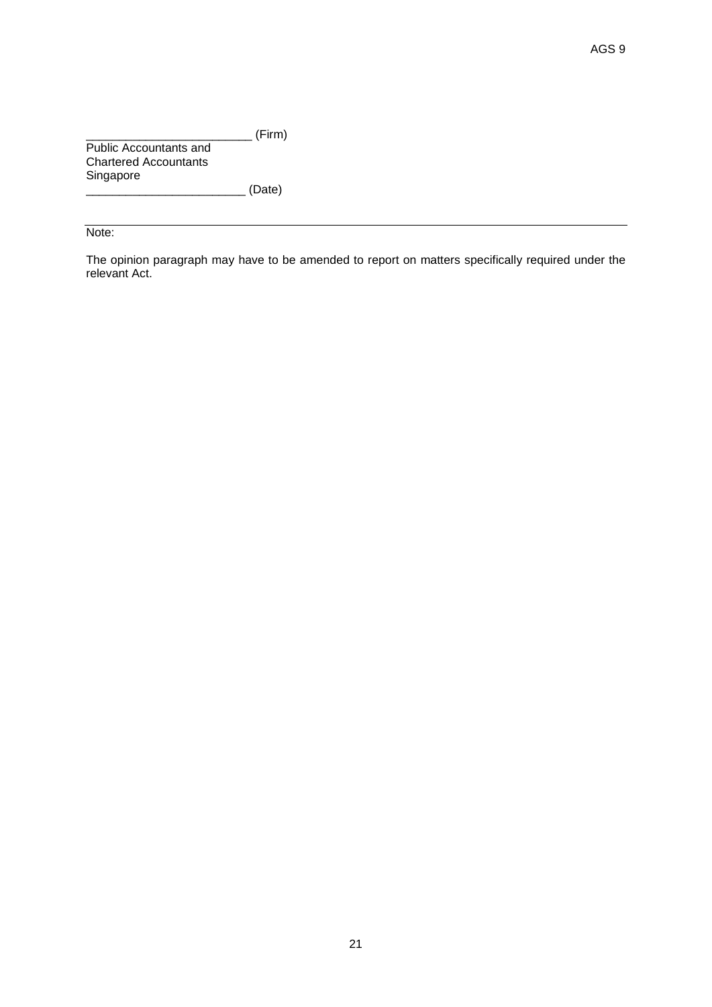$_{-}$  (Firm) Public Accountants and Chartered Accountants Singapore  $_$  (Date)

Note:

The opinion paragraph may have to be amended to report on matters specifically required under the relevant Act.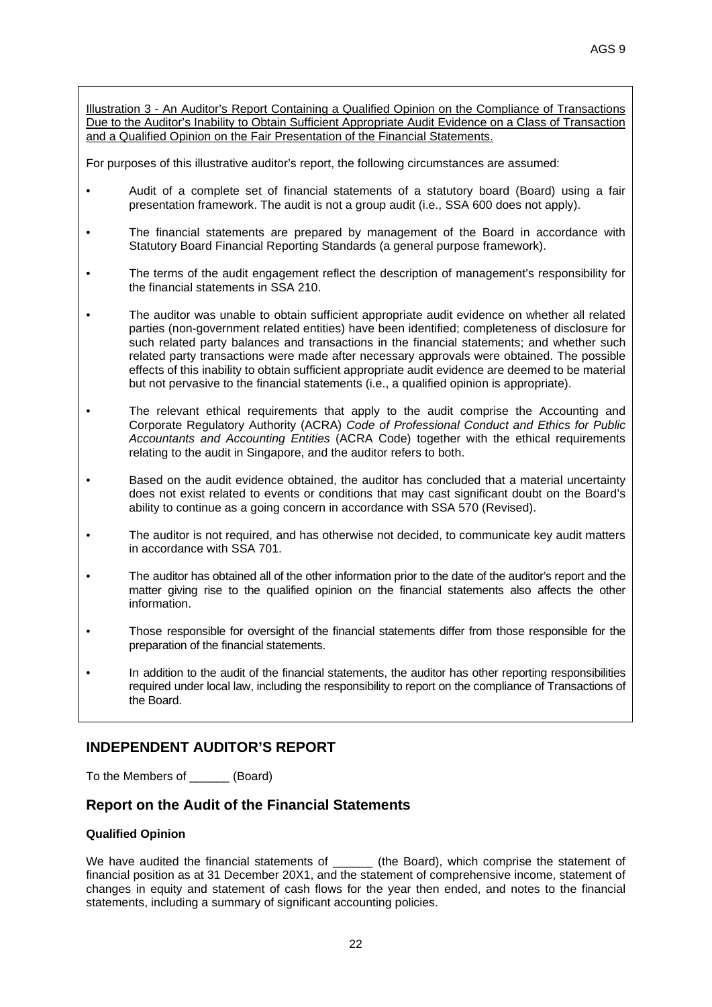Illustration 3 - An Auditor's Report Containing a Qualified Opinion on the Compliance of Transactions Due to the Auditor's Inability to Obtain Sufficient Appropriate Audit Evidence on a Class of Transaction and a Qualified Opinion on the Fair Presentation of the Financial Statements.

For purposes of this illustrative auditor's report, the following circumstances are assumed:

- Audit of a complete set of financial statements of a statutory board (Board) using a fair presentation framework. The audit is not a group audit (i.e., SSA 600 does not apply).
- The financial statements are prepared by management of the Board in accordance with Statutory Board Financial Reporting Standards (a general purpose framework).
- The terms of the audit engagement reflect the description of management's responsibility for the financial statements in SSA 210.
- The auditor was unable to obtain sufficient appropriate audit evidence on whether all related parties (non-government related entities) have been identified; completeness of disclosure for such related party balances and transactions in the financial statements; and whether such related party transactions were made after necessary approvals were obtained. The possible effects of this inability to obtain sufficient appropriate audit evidence are deemed to be material but not pervasive to the financial statements (i.e., a qualified opinion is appropriate).
- The relevant ethical requirements that apply to the audit comprise the Accounting and Corporate Regulatory Authority (ACRA) *Code of Professional Conduct and Ethics for Public Accountants and Accounting Entities* (ACRA Code) together with the ethical requirements relating to the audit in Singapore, and the auditor refers to both.
- Based on the audit evidence obtained, the auditor has concluded that a material uncertainty does not exist related to events or conditions that may cast significant doubt on the Board's ability to continue as a going concern in accordance with SSA 570 (Revised).
- The auditor is not required, and has otherwise not decided, to communicate key audit matters in accordance with SSA 701.
- The auditor has obtained all of the other information prior to the date of the auditor's report and the matter giving rise to the qualified opinion on the financial statements also affects the other information.
- Those responsible for oversight of the financial statements differ from those responsible for the preparation of the financial statements.
- In addition to the audit of the financial statements, the auditor has other reporting responsibilities required under local law, including the responsibility to report on the compliance of Transactions of the Board.

# **INDEPENDENT AUDITOR'S REPORT**

To the Members of  $(Board)$ 

### **Report on the Audit of the Financial Statements**

#### **Qualified Opinion**

We have audited the financial statements of  $\qquad$  (the Board), which comprise the statement of financial position as at 31 December 20X1, and the statement of comprehensive income, statement of changes in equity and statement of cash flows for the year then ended, and notes to the financial statements, including a summary of significant accounting policies.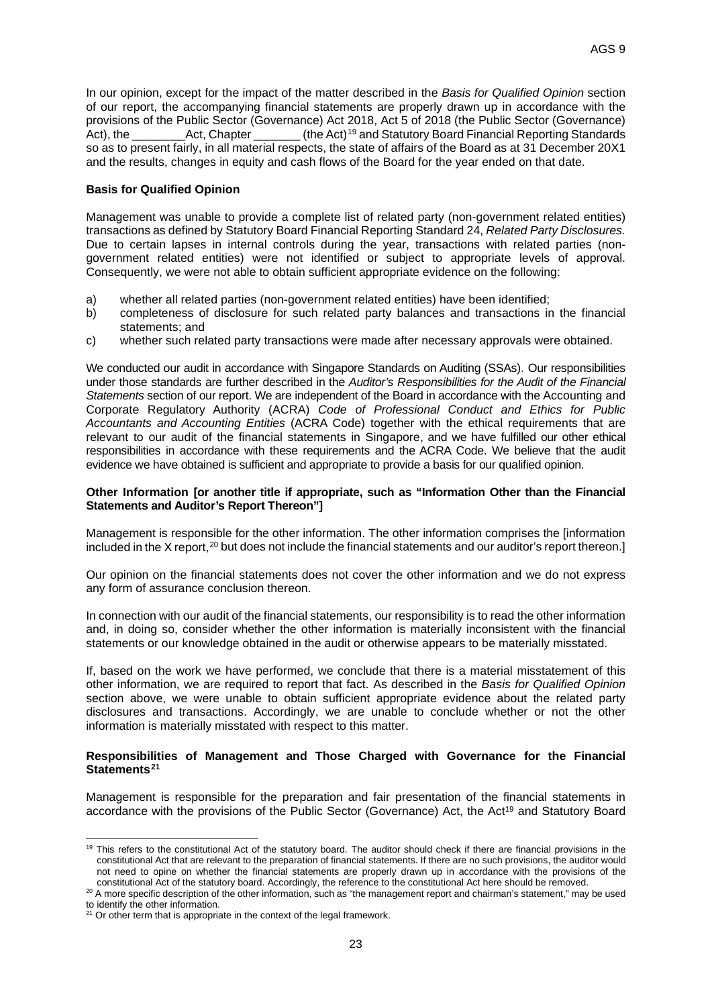In our opinion, except for the impact of the matter described in the *Basis for Qualified Opinion* section of our report, the accompanying financial statements are properly drawn up in accordance with the provisions of the Public Sector (Governance) Act 2018, Act 5 of 2018 (the Public Sector (Governance) Act), the \_\_\_\_\_\_\_\_Act, Chapter \_\_\_\_\_\_\_ (the Act)19 and Statutory Board Financial Reporting Standards so as to present fairly, in all material respects, the state of affairs of the Board as at 31 December 20X1 and the results, changes in equity and cash flows of the Board for the year ended on that date.

#### **Basis for Qualified Opinion**

Management was unable to provide a complete list of related party (non-government related entities) transactions as defined by Statutory Board Financial Reporting Standard 24, *Related Party Disclosures.*  Due to certain lapses in internal controls during the year, transactions with related parties (nongovernment related entities) were not identified or subject to appropriate levels of approval. Consequently, we were not able to obtain sufficient appropriate evidence on the following:

- a) whether all related parties (non-government related entities) have been identified;
- b) completeness of disclosure for such related party balances and transactions in the financial statements; and
- c) whether such related party transactions were made after necessary approvals were obtained.

We conducted our audit in accordance with Singapore Standards on Auditing (SSAs). Our responsibilities under those standards are further described in the *Auditor's Responsibilities for the Audit of the Financial Statements* section of our report. We are independent of the Board in accordance with the Accounting and Corporate Regulatory Authority (ACRA) *Code of Professional Conduct and Ethics for Public Accountants and Accounting Entities* (ACRA Code) together with the ethical requirements that are relevant to our audit of the financial statements in Singapore, and we have fulfilled our other ethical responsibilities in accordance with these requirements and the ACRA Code. We believe that the audit evidence we have obtained is sufficient and appropriate to provide a basis for our qualified opinion.

#### **Other Information [or another title if appropriate, such as "Information Other than the Financial Statements and Auditor's Report Thereon"]**

Management is responsible for the other information. The other information comprises the [information included in the X report,<sup>20</sup> but does not include the financial statements and our auditor's report thereon.]

Our opinion on the financial statements does not cover the other information and we do not express any form of assurance conclusion thereon.

In connection with our audit of the financial statements, our responsibility is to read the other information and, in doing so, consider whether the other information is materially inconsistent with the financial statements or our knowledge obtained in the audit or otherwise appears to be materially misstated.

If, based on the work we have performed, we conclude that there is a material misstatement of this other information, we are required to report that fact. As described in the *Basis for Qualified Opinion* section above, we were unable to obtain sufficient appropriate evidence about the related party disclosures and transactions. Accordingly, we are unable to conclude whether or not the other information is materially misstated with respect to this matter.

#### **Responsibilities of Management and Those Charged with Governance for the Financial Statements21**

Management is responsible for the preparation and fair presentation of the financial statements in accordance with the provisions of the Public Sector (Governance) Act, the Act<sup>19</sup> and Statutory Board

<sup>&</sup>lt;sup>19</sup> This refers to the constitutional Act of the statutory board. The auditor should check if there are financial provisions in the constitutional Act that are relevant to the preparation of financial statements. If there are no such provisions, the auditor would not need to opine on whether the financial statements are properly drawn up in accordance with the provisions of the constitutional Act of the statutory board. Accordingly, the reference to the constitutional Act here should be removed.

<sup>&</sup>lt;sup>20</sup> A more specific description of the other information, such as "the management report and chairman's statement," may be used to identify the other information.

 $21$  Or other term that is appropriate in the context of the legal framework.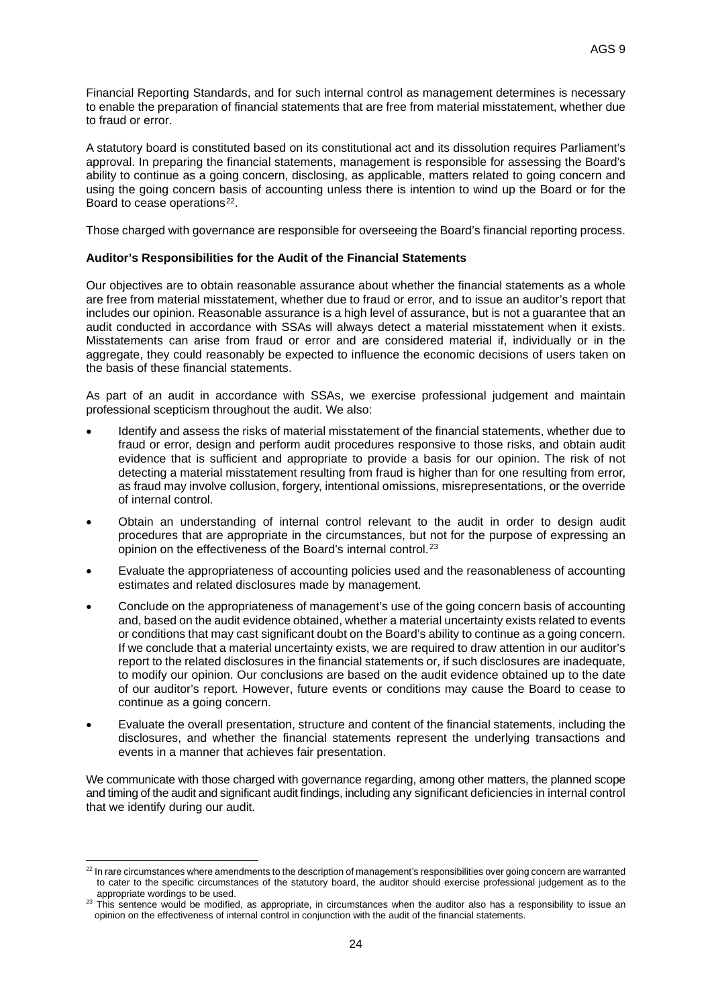Financial Reporting Standards, and for such internal control as management determines is necessary to enable the preparation of financial statements that are free from material misstatement, whether due to fraud or error.

A statutory board is constituted based on its constitutional act and its dissolution requires Parliament's approval. In preparing the financial statements, management is responsible for assessing the Board's ability to continue as a going concern, disclosing, as applicable, matters related to going concern and using the going concern basis of accounting unless there is intention to wind up the Board or for the Board to cease operations<sup>22</sup>.

Those charged with governance are responsible for overseeing the Board's financial reporting process.

#### **Auditor's Responsibilities for the Audit of the Financial Statements**

Our objectives are to obtain reasonable assurance about whether the financial statements as a whole are free from material misstatement, whether due to fraud or error, and to issue an auditor's report that includes our opinion. Reasonable assurance is a high level of assurance, but is not a guarantee that an audit conducted in accordance with SSAs will always detect a material misstatement when it exists. Misstatements can arise from fraud or error and are considered material if, individually or in the aggregate, they could reasonably be expected to influence the economic decisions of users taken on the basis of these financial statements.

As part of an audit in accordance with SSAs, we exercise professional judgement and maintain professional scepticism throughout the audit. We also:

- Identify and assess the risks of material misstatement of the financial statements, whether due to fraud or error, design and perform audit procedures responsive to those risks, and obtain audit evidence that is sufficient and appropriate to provide a basis for our opinion. The risk of not detecting a material misstatement resulting from fraud is higher than for one resulting from error, as fraud may involve collusion, forgery, intentional omissions, misrepresentations, or the override of internal control.
- Obtain an understanding of internal control relevant to the audit in order to design audit procedures that are appropriate in the circumstances, but not for the purpose of expressing an opinion on the effectiveness of the Board's internal control.23
- Evaluate the appropriateness of accounting policies used and the reasonableness of accounting estimates and related disclosures made by management.
- Conclude on the appropriateness of management's use of the going concern basis of accounting and, based on the audit evidence obtained, whether a material uncertainty exists related to events or conditions that may cast significant doubt on the Board's ability to continue as a going concern. If we conclude that a material uncertainty exists, we are required to draw attention in our auditor's report to the related disclosures in the financial statements or, if such disclosures are inadequate, to modify our opinion. Our conclusions are based on the audit evidence obtained up to the date of our auditor's report. However, future events or conditions may cause the Board to cease to continue as a going concern.
- Evaluate the overall presentation, structure and content of the financial statements, including the disclosures, and whether the financial statements represent the underlying transactions and events in a manner that achieves fair presentation.

We communicate with those charged with governance regarding, among other matters, the planned scope and timing of the audit and significant audit findings, including any significant deficiencies in internal control that we identify during our audit.

<sup>&</sup>lt;sup>22</sup> In rare circumstances where amendments to the description of management's responsibilities over going concern are warranted to cater to the specific circumstances of the statutory board, the auditor should exercise professional judgement as to the appropriate wordings to be used.

<sup>&</sup>lt;sup>23</sup> This sentence would be modified, as appropriate, in circumstances when the auditor also has a responsibility to issue an opinion on the effectiveness of internal control in conjunction with the audit of the financial statements.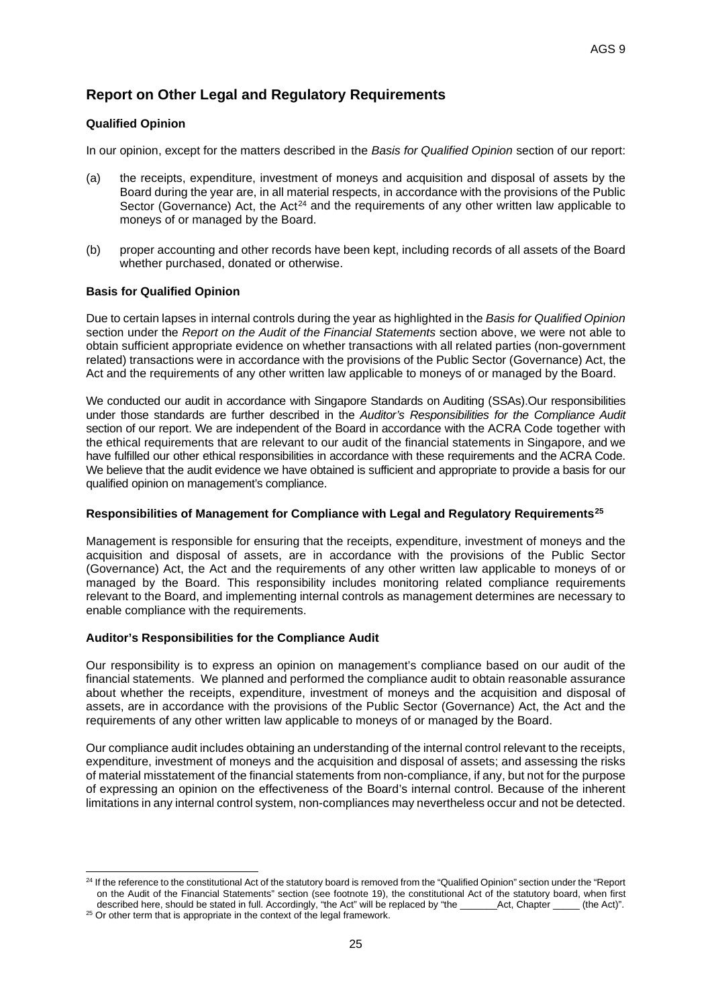# **Report on Other Legal and Regulatory Requirements**

#### **Qualified Opinion**

In our opinion, except for the matters described in the *Basis for Qualified Opinion* section of our report:

- (a) the receipts, expenditure, investment of moneys and acquisition and disposal of assets by the Board during the year are, in all material respects, in accordance with the provisions of the Public Sector (Governance) Act, the Act<sup>24</sup> and the requirements of any other written law applicable to moneys of or managed by the Board.
- (b) proper accounting and other records have been kept, including records of all assets of the Board whether purchased, donated or otherwise.

#### **Basis for Qualified Opinion**

Due to certain lapses in internal controls during the year as highlighted in the *Basis for Qualified Opinion* section under the *Report on the Audit of the Financial Statements* section above, we were not able to obtain sufficient appropriate evidence on whether transactions with all related parties (non-government related) transactions were in accordance with the provisions of the Public Sector (Governance) Act, the Act and the requirements of any other written law applicable to moneys of or managed by the Board.

We conducted our audit in accordance with Singapore Standards on Auditing (SSAs).Our responsibilities under those standards are further described in the *Auditor's Responsibilities for the Compliance Audit* section of our report. We are independent of the Board in accordance with the ACRA Code together with the ethical requirements that are relevant to our audit of the financial statements in Singapore, and we have fulfilled our other ethical responsibilities in accordance with these requirements and the ACRA Code. We believe that the audit evidence we have obtained is sufficient and appropriate to provide a basis for our qualified opinion on management's compliance.

#### **Responsibilities of Management for Compliance with Legal and Regulatory Requirements25**

Management is responsible for ensuring that the receipts, expenditure, investment of moneys and the acquisition and disposal of assets, are in accordance with the provisions of the Public Sector (Governance) Act, the Act and the requirements of any other written law applicable to moneys of or managed by the Board. This responsibility includes monitoring related compliance requirements relevant to the Board, and implementing internal controls as management determines are necessary to enable compliance with the requirements.

#### **Auditor's Responsibilities for the Compliance Audit**

Our responsibility is to express an opinion on management's compliance based on our audit of the financial statements. We planned and performed the compliance audit to obtain reasonable assurance about whether the receipts, expenditure, investment of moneys and the acquisition and disposal of assets, are in accordance with the provisions of the Public Sector (Governance) Act, the Act and the requirements of any other written law applicable to moneys of or managed by the Board.

Our compliance audit includes obtaining an understanding of the internal control relevant to the receipts, expenditure, investment of moneys and the acquisition and disposal of assets; and assessing the risks of material misstatement of the financial statements from non-compliance, if any, but not for the purpose of expressing an opinion on the effectiveness of the Board's internal control. Because of the inherent limitations in any internal control system, non-compliances may nevertheless occur and not be detected.

<sup>&</sup>lt;sup>24</sup> If the reference to the constitutional Act of the statutory board is removed from the "Qualified Opinion" section under the "Report on the Audit of the Financial Statements" section (see footnote 19), the constitutional Act of the statutory board, when first described here, should be stated in full. Accordingly, "the Act" will be replaced by "the \_\_\_\_\_\_Act, Chapter \_\_\_\_\_ (the Act)".

<sup>&</sup>lt;sup>25</sup> Or other term that is appropriate in the context of the legal framework.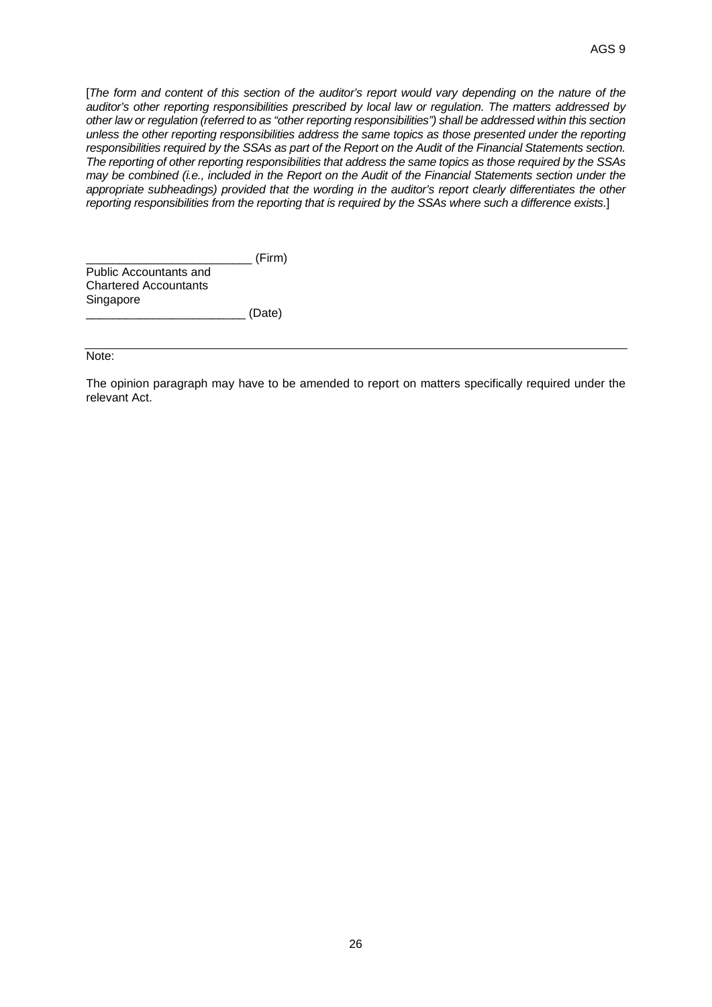[*The form and content of this section of the auditor's report would vary depending on the nature of the auditor's other reporting responsibilities prescribed by local law or regulation. The matters addressed by other law or regulation (referred to as "other reporting responsibilities") shall be addressed within this section unless the other reporting responsibilities address the same topics as those presented under the reporting responsibilities required by the SSAs as part of the Report on the Audit of the Financial Statements section. The reporting of other reporting responsibilities that address the same topics as those required by the SSAs may be combined (i.e., included in the Report on the Audit of the Financial Statements section under the appropriate subheadings) provided that the wording in the auditor's report clearly differentiates the other reporting responsibilities from the reporting that is required by the SSAs where such a difference exists.*]

 $(Firm)$ Public Accountants and Chartered Accountants Singapore \_\_\_\_\_\_\_\_\_\_\_\_\_\_\_\_\_\_\_\_\_\_\_\_ (Date)

Note:

The opinion paragraph may have to be amended to report on matters specifically required under the relevant Act.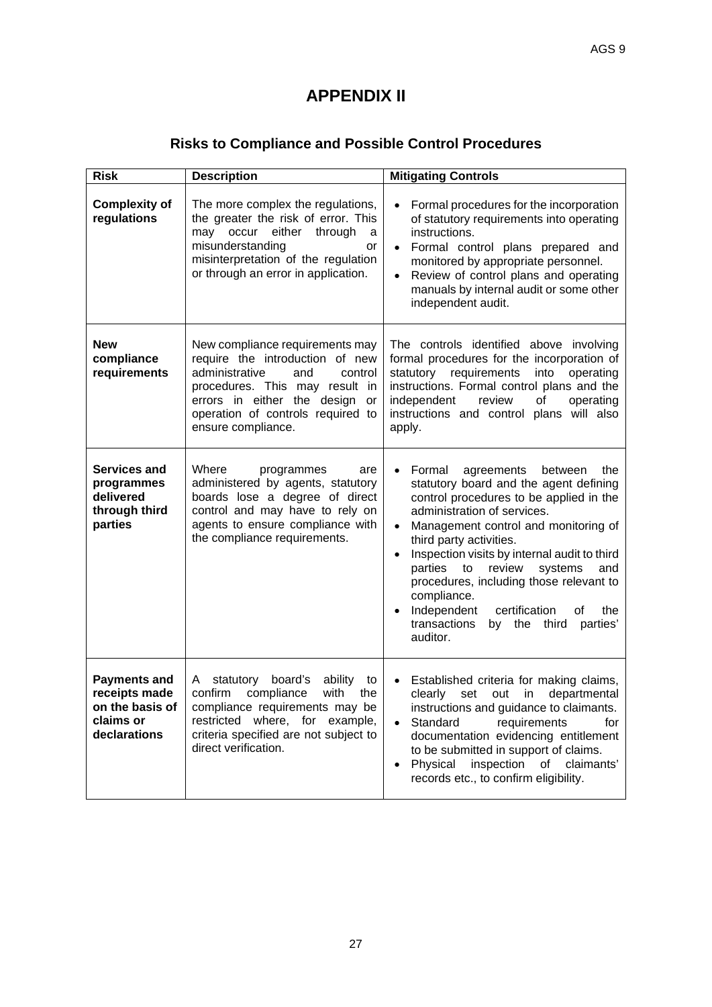# **APPENDIX II**

# **Risks to Compliance and Possible Control Procedures**

| <b>Risk</b>                                                                          | <b>Description</b>                                                                                                                                                                                                                       | <b>Mitigating Controls</b>                                                                                                                                                                                                                                                                                                                                                                                                                                                             |
|--------------------------------------------------------------------------------------|------------------------------------------------------------------------------------------------------------------------------------------------------------------------------------------------------------------------------------------|----------------------------------------------------------------------------------------------------------------------------------------------------------------------------------------------------------------------------------------------------------------------------------------------------------------------------------------------------------------------------------------------------------------------------------------------------------------------------------------|
| <b>Complexity of</b><br>regulations                                                  | The more complex the regulations,<br>the greater the risk of error. This<br>occur<br>either<br>through<br>may<br>a<br>misunderstanding<br>or<br>misinterpretation of the regulation<br>or through an error in application.               | Formal procedures for the incorporation<br>of statutory requirements into operating<br>instructions.<br>Formal control plans prepared and<br>$\bullet$<br>monitored by appropriate personnel.<br>Review of control plans and operating<br>manuals by internal audit or some other<br>independent audit.                                                                                                                                                                                |
| <b>New</b><br>compliance<br>requirements                                             | New compliance requirements may<br>require the introduction of new<br>administrative<br>and<br>control<br>procedures. This may result in<br>errors in either the design<br>or<br>operation of controls required to<br>ensure compliance. | The controls identified above involving<br>formal procedures for the incorporation of<br>requirements<br>statutory<br>into<br>operating<br>instructions. Formal control plans and the<br>independent<br>review<br>operating<br>οf<br>instructions and control plans will also<br>apply.                                                                                                                                                                                                |
| Services and<br>programmes<br>delivered<br>through third<br>parties                  | Where<br>programmes<br>are<br>administered by agents, statutory<br>boards lose a degree of direct<br>control and may have to rely on<br>agents to ensure compliance with<br>the compliance requirements.                                 | Formal<br>agreements<br>between<br>the<br>statutory board and the agent defining<br>control procedures to be applied in the<br>administration of services.<br>Management control and monitoring of<br>third party activities.<br>Inspection visits by internal audit to third<br>systems<br>parties to<br>review<br>and<br>procedures, including those relevant to<br>compliance.<br>Independent<br>certification<br>the<br>οf<br>transactions<br>by the third<br>parties'<br>auditor. |
| <b>Payments and</b><br>receipts made<br>on the basis of<br>claims or<br>declarations | board's<br>A<br>statutory<br>ability<br>to<br>confirm<br>compliance<br>with<br>the<br>compliance requirements may be<br>restricted where, for example,<br>criteria specified are not subject to<br>direct verification.                  | Established criteria for making claims,<br>clearly<br>set<br>in<br>departmental<br>out<br>instructions and guidance to claimants.<br>Standard<br>requirements<br>for<br>documentation evidencing entitlement<br>to be submitted in support of claims.<br>inspection<br>of<br>Physical<br>claimants'<br>records etc., to confirm eligibility.                                                                                                                                           |